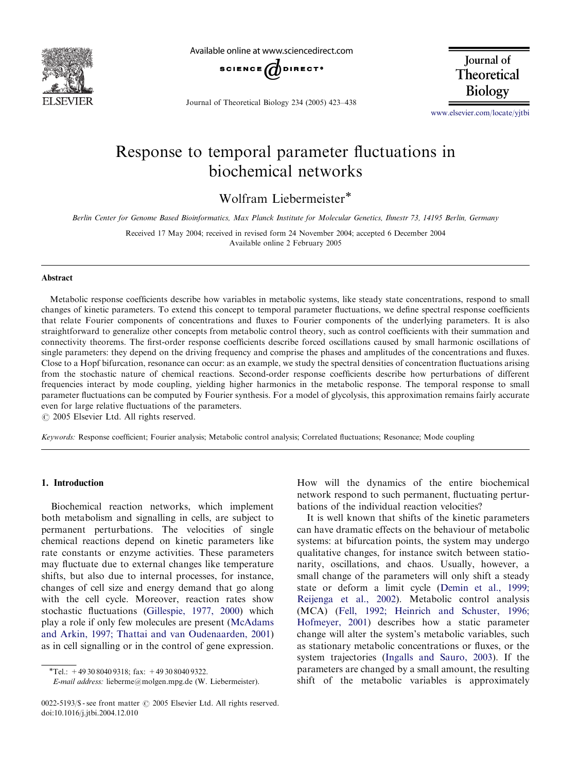

Available online at www.sciencedirect.com



Journal of Theoretical Biology 234 (2005) 423–438

Journal of Theoretical **Biology** 

<www.elsevier.com/locate/yjtbi>

# Response to temporal parameter fluctuations in biochemical networks

Wolfram Liebermeister

Berlin Center for Genome Based Bioinformatics, Max Planck Institute for Molecular Genetics, Ihnestr 73, 14195 Berlin, Germany

Received 17 May 2004; received in revised form 24 November 2004; accepted 6 December 2004 Available online 2 February 2005

## Abstract

Metabolic response coefficients describe how variables in metabolic systems, like steady state concentrations, respond to small changes of kinetic parameters. To extend this concept to temporal parameter fluctuations, we define spectral response coefficients that relate Fourier components of concentrations and fluxes to Fourier components of the underlying parameters. It is also straightforward to generalize other concepts from metabolic control theory, such as control coefficients with their summation and connectivity theorems. The first-order response coefficients describe forced oscillations caused by small harmonic oscillations of single parameters: they depend on the driving frequency and comprise the phases and amplitudes of the concentrations and fluxes. Close to a Hopf bifurcation, resonance can occur: as an example, we study the spectral densities of concentration fluctuations arising from the stochastic nature of chemical reactions. Second-order response coefficients describe how perturbations of different frequencies interact by mode coupling, yielding higher harmonics in the metabolic response. The temporal response to small parameter fluctuations can be computed by Fourier synthesis. For a model of glycolysis, this approximation remains fairly accurate even for large relative fluctuations of the parameters.

 $C$  2005 Elsevier Ltd. All rights reserved.

Keywords: Response coefficient; Fourier analysis; Metabolic control analysis; Correlated fluctuations; Resonance; Mode coupling

## 1. Introduction

Biochemical reaction networks, which implement both metabolism and signalling in cells, are subject to permanent perturbations. The velocities of single chemical reactions depend on kinetic parameters like rate constants or enzyme activities. These parameters may fluctuate due to external changes like temperature shifts, but also due to internal processes, for instance, changes of cell size and energy demand that go along with the cell cycle. Moreover, reaction rates show stochastic fluctuations ([Gillespie, 1977, 2000](#page-15-0)) which play a role if only few molecules are present [\(McAdams](#page-15-0) [and Arkin, 1997; Thattai and van Oudenaarden, 2001](#page-15-0)) as in cell signalling or in the control of gene expression.

How will the dynamics of the entire biochemical network respond to such permanent, fluctuating perturbations of the individual reaction velocities?

It is well known that shifts of the kinetic parameters can have dramatic effects on the behaviour of metabolic systems: at bifurcation points, the system may undergo qualitative changes, for instance switch between stationarity, oscillations, and chaos. Usually, however, a small change of the parameters will only shift a steady state or deform a limit cycle ([Demin et al., 1999;](#page-15-0) [Reijenga et al., 2002](#page-15-0)). Metabolic control analysis (MCA) [\(Fell, 1992; Heinrich and Schuster, 1996;](#page-15-0) [Hofmeyer, 2001](#page-15-0)) describes how a static parameter change will alter the system's metabolic variables, such as stationary metabolic concentrations or fluxes, or the system trajectories [\(Ingalls and Sauro, 2003\)](#page-15-0). If the parameters are changed by a small amount, the resulting shift of the metabolic variables is approximately

<sup>\*</sup>Tel.: +49 30 8040 9318; fax: +49 30 8040 9322.

E-mail address: lieberme@molgen.mpg.de (W. Liebermeister).

 $0022-5193/$ \$ - see front matter  $\odot$  2005 Elsevier Ltd. All rights reserved. doi:10.1016/j.jtbi.2004.12.010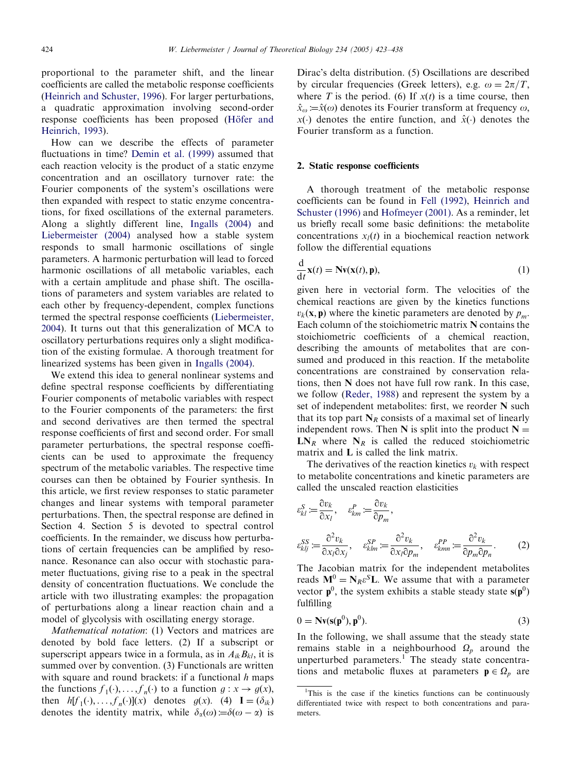proportional to the parameter shift, and the linear coefficients are called the metabolic response coefficients ([Heinrich and Schuster, 1996](#page-15-0)). For larger perturbations, a quadratic approximation involving second-order response coefficients has been proposed (Höfer and [Heinrich, 1993\)](#page-15-0).

How can we describe the effects of parameter fluctuations in time? [Demin et al. \(1999\)](#page-15-0) assumed that each reaction velocity is the product of a static enzyme concentration and an oscillatory turnover rate: the Fourier components of the system's oscillations were then expanded with respect to static enzyme concentrations, for fixed oscillations of the external parameters. Along a slightly different line, [Ingalls \(2004\)](#page-15-0) and [Liebermeister \(2004\)](#page-15-0) analysed how a stable system responds to small harmonic oscillations of single parameters. A harmonic perturbation will lead to forced harmonic oscillations of all metabolic variables, each with a certain amplitude and phase shift. The oscillations of parameters and system variables are related to each other by frequency-dependent, complex functions termed the spectral response coefficients ([Liebermeister,](#page-15-0) [2004](#page-15-0)). It turns out that this generalization of MCA to oscillatory perturbations requires only a slight modification of the existing formulae. A thorough treatment for linearized systems has been given in [Ingalls \(2004\)](#page-15-0).

We extend this idea to general nonlinear systems and define spectral response coefficients by differentiating Fourier components of metabolic variables with respect to the Fourier components of the parameters: the first and second derivatives are then termed the spectral response coefficients of first and second order. For small parameter perturbations, the spectral response coefficients can be used to approximate the frequency spectrum of the metabolic variables. The respective time courses can then be obtained by Fourier synthesis. In this article, we first review responses to static parameter changes and linear systems with temporal parameter perturbations. Then, the spectral response are defined in Section 4. Section 5 is devoted to spectral control coefficients. In the remainder, we discuss how perturbations of certain frequencies can be amplified by resonance. Resonance can also occur with stochastic parameter fluctuations, giving rise to a peak in the spectral density of concentration fluctuations. We conclude the article with two illustrating examples: the propagation of perturbations along a linear reaction chain and a model of glycolysis with oscillating energy storage.

Mathematical notation: (1) Vectors and matrices are denoted by bold face letters. (2) If a subscript or superscript appears twice in a formula, as in  $A_{ik}B_{kl}$ , it is summed over by convention. (3) Functionals are written with square and round brackets: if a functional  $h$  maps the functions  $f_1(\cdot), \ldots, f_n(\cdot)$  to a function  $g: x \to g(x)$ , then  $h[f_1(\cdot),...,f_n(\cdot)](x)$  denotes  $g(x)$ . (4)  $I = (\delta_{ik})$ denotes the identity matrix, while  $\delta_{\alpha}(\omega) = \delta(\omega - \alpha)$  is

Dirac's delta distribution. (5) Oscillations are described by circular frequencies (Greek letters), e.g.  $\omega = 2\pi/T$ . where T is the period. (6) If  $x(t)$  is a time course, then  $\hat{x}_\omega = \hat{x}(\omega)$  denotes its Fourier transform at frequency  $\omega$ ,  $x(\cdot)$  denotes the entire function, and  $\hat{x}(\cdot)$  denotes the Fourier transform as a function.

#### 2. Static response coefficients

A thorough treatment of the metabolic response coefficients can be found in [Fell \(1992\)](#page-15-0), [Heinrich and](#page-15-0) [Schuster \(1996\)](#page-15-0) and [Hofmeyer \(2001\).](#page-15-0) As a reminder, let us briefly recall some basic definitions: the metabolite concentrations  $x_l(t)$  in a biochemical reaction network follow the differential equations

$$
\frac{\mathrm{d}}{\mathrm{d}t}\mathbf{x}(t) = \mathbf{N}\mathbf{v}(\mathbf{x}(t), \mathbf{p}),\tag{1}
$$

given here in vectorial form. The velocities of the chemical reactions are given by the kinetics functions  $v_k(\mathbf{x}, \mathbf{p})$  where the kinetic parameters are denoted by  $p_m$ . Each column of the stoichiometric matrix N contains the stoichiometric coefficients of a chemical reaction, describing the amounts of metabolites that are consumed and produced in this reaction. If the metabolite concentrations are constrained by conservation relations, then N does not have full row rank. In this case, we follow ([Reder, 1988\)](#page-15-0) and represent the system by a set of independent metabolites: first, we reorder N such that its top part  $N_R$  consists of a maximal set of linearly independent rows. Then N is split into the product  $N =$  $LN_R$  where  $N_R$  is called the reduced stoichiometric matrix and L is called the link matrix.

The derivatives of the reaction kinetics  $v_k$  with respect to metabolite concentrations and kinetic parameters are called the unscaled reaction elasticities

$$
\varepsilon_{kl}^{S} := \frac{\partial v_k}{\partial x_l}, \quad \varepsilon_{km}^{P} := \frac{\partial v_k}{\partial p_m},
$$
  

$$
\varepsilon_{klj}^{SS} := \frac{\partial^2 v_k}{\partial x_l \partial x_j}, \quad \varepsilon_{klm}^{SP} := \frac{\partial^2 v_k}{\partial x_l \partial p_m}, \quad \varepsilon_{kmn}^{PP} := \frac{\partial^2 v_k}{\partial p_m \partial p_n}.
$$
 (2)

The Jacobian matrix for the independent metabolites reads  $M^0 = N_R \varepsilon^S L$ . We assume that with a parameter vector  $p^0$ , the system exhibits a stable steady state  $s(p^0)$ fulfilling

$$
0 = \mathbf{N} \mathbf{v}(\mathbf{s}(\mathbf{p}^0), \mathbf{p}^0). \tag{3}
$$

In the following, we shall assume that the steady state remains stable in a neighbourhood  $\Omega_p$  around the unperturbed parameters.<sup>1</sup> The steady state concentrations and metabolic fluxes at parameters  $\mathbf{p} \in \Omega_p$  are

<sup>&</sup>lt;sup>1</sup>This is the case if the kinetics functions can be continuously differentiated twice with respect to both concentrations and parameters.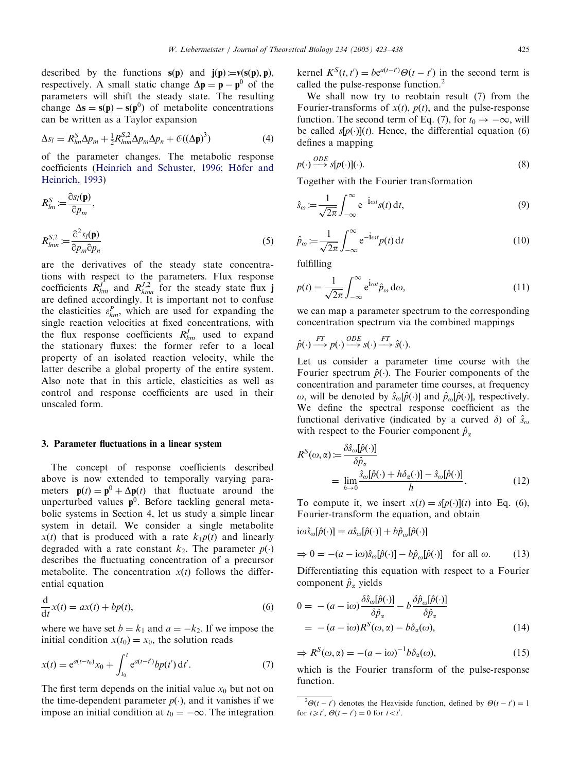described by the functions  $s(p)$  and  $j(p) := v(s(p), p)$ , respectively. A small static change  $\Delta \mathbf{p} = \mathbf{p} - \mathbf{p}^0$  of the parameters will shift the steady state. The resulting change  $\Delta s = s(p) - s(p^0)$  of metabolite concentrations can be written as a Taylor expansion

$$
\Delta s_l = R_{lm}^S \Delta p_m + \frac{1}{2} R_{lmn}^{S,2} \Delta p_m \Delta p_n + \mathcal{O}((\Delta \mathbf{p})^3)
$$
(4)

of the parameter changes. The metabolic response coefficients (Heinrich and Schuster, 1996; Höfer and [Heinrich, 1993\)](#page-15-0)

$$
R_{lm}^{S} := \frac{\partial s_{l}(\mathbf{p})}{\partial p_{m}},
$$
  

$$
R_{lmn}^{S,2} := \frac{\partial^{2} s_{l}(\mathbf{p})}{\partial p_{m} \partial p_{n}}
$$
 (5)

are the derivatives of the steady state concentrations with respect to the parameters. Flux response coefficients  $R_{km}^J$  and  $R_{kmn}^{J,2}$  for the steady state flux **j** are defined accordingly. It is important not to confuse the elasticities  $\varepsilon_{km}^P$ , which are used for expanding the single reaction velocities at fixed concentrations, with the flux response coefficients  $R_{km}^J$  used to expand the stationary fluxes: the former refer to a local property of an isolated reaction velocity, while the latter describe a global property of the entire system. Also note that in this article, elasticities as well as control and response coefficients are used in their unscaled form.

#### 3. Parameter fluctuations in a linear system

The concept of response coefficients described above is now extended to temporally varying parameters  $\mathbf{p}(t) = \mathbf{p}^0 + \Delta \mathbf{p}(t)$  that fluctuate around the unperturbed values  $p^0$ . Before tackling general metabolic systems in Section 4, let us study a simple linear system in detail. We consider a single metabolite  $x(t)$  that is produced with a rate  $k_1p(t)$  and linearly degraded with a rate constant  $k_2$ . The parameter  $p(\cdot)$ describes the fluctuating concentration of a precursor metabolite. The concentration  $x(t)$  follows the differential equation

$$
\frac{d}{dt}x(t) = ax(t) + bp(t),
$$
\n(6)

where we have set  $b = k_1$  and  $a = -k_2$ . If we impose the initial condition  $x(t_0) = x_0$ , the solution reads

$$
x(t) = e^{a(t-t_0)}x_0 + \int_{t_0}^t e^{a(t-t')}bp(t') dt'.
$$
 (7)

The first term depends on the initial value  $x_0$  but not on the time-dependent parameter  $p(\cdot)$ , and it vanishes if we impose an initial condition at  $t_0 = -\infty$ . The integration

kernel  $K^{S}(t, t') = be^{a(t-t')} \Theta(t - t')$  in the second term is called the pulse-response function.<sup>2</sup>

We shall now try to reobtain result (7) from the Fourier-transforms of  $x(t)$ ,  $p(t)$ , and the pulse-response function. The second term of Eq. (7), for  $t_0 \rightarrow -\infty$ , will be called  $s[p(\cdot)](t)$ . Hence, the differential equation (6) defines a mapping

$$
p(\cdot) \xrightarrow{ODE} s[p(\cdot)](\cdot). \tag{8}
$$

Together with the Fourier transformation

$$
\hat{s}_{\omega} \coloneqq \frac{1}{\sqrt{2\pi}} \int_{-\infty}^{\infty} e^{-i\omega t} s(t) dt,
$$
\n(9)

$$
\hat{p}_{\omega} \coloneqq \frac{1}{\sqrt{2\pi}} \int_{-\infty}^{\infty} e^{-i\omega t} p(t) dt \tag{10}
$$

fulfilling

$$
p(t) = \frac{1}{\sqrt{2\pi}} \int_{-\infty}^{\infty} e^{i\omega t} \hat{p}_{\omega} d\omega,
$$
 (11)

we can map a parameter spectrum to the corresponding concentration spectrum via the combined mappings

$$
\hat{p}(\cdot) \xrightarrow{FT} p(\cdot) \xrightarrow{ODE} s(\cdot) \xrightarrow{FT} \hat{s}(\cdot).
$$

 $\theta$ 

Let us consider a parameter time course with the Fourier spectrum  $\hat{p}(\cdot)$ . The Fourier components of the concentration and parameter time courses, at frequency  $\omega$ , will be denoted by  $\hat{s}_{\omega}[\hat{p}(\cdot)]$  and  $\hat{p}_{\omega}[\hat{p}(\cdot)]$ , respectively. We define the spectral response coefficient as the functional derivative (indicated by a curved  $\delta$ ) of  $\hat{s}_{\omega}$ with respect to the Fourier component  $\hat{p}_{\alpha}$ 

$$
R^{S}(\omega, \alpha) \coloneqq \frac{\delta \hat{s}_{\omega}[\hat{p}(\cdot)]}{\delta \hat{p}_{\alpha}}
$$
  
= 
$$
\lim_{h \to 0} \frac{\hat{s}_{\omega}[\hat{p}(\cdot) + h\delta_{\alpha}(\cdot)] - \hat{s}_{\omega}[\hat{p}(\cdot)]}{h}.
$$
 (12)

To compute it, we insert  $x(t) = s[p(\cdot)](t)$  into Eq. (6), Fourier-transform the equation, and obtain

$$
i\omega \hat{s}_{\omega}[\hat{p}(\cdot)] = a\hat{s}_{\omega}[\hat{p}(\cdot)] + b\hat{p}_{\omega}[\hat{p}(\cdot)]
$$

$$
\Rightarrow 0 = -(a - i\omega)\hat{s}_{\omega}[\hat{p}(\cdot)] - b\hat{p}_{\omega}[\hat{p}(\cdot)] \quad \text{for all } \omega.
$$
 (13)

Differentiating this equation with respect to a Fourier component  $\hat{p}_{\alpha}$  yields

$$
0 = -(a - i\omega) \frac{\delta \hat{s}_{\omega}[\hat{p}(\cdot)]}{\delta \hat{p}_{\alpha}} - b \frac{\delta \hat{p}_{\omega}[\hat{p}(\cdot)]}{\delta \hat{p}_{\alpha}}
$$
  
= -(a - i\omega) R<sup>S</sup>(\omega, \alpha) - b\delta\_{\alpha}(\omega), (14)

$$
\Rightarrow R^{S}(\omega, \alpha) = -(a - i\omega)^{-1} b \delta_{\alpha}(\omega), \qquad (15)
$$

which is the Fourier transform of the pulse-response function.

 $\partial^2 \Theta(t - t')$  denotes the Heaviside function, defined by  $\Theta(t - t') = 1$ for  $t \geq t'$ ,  $\Theta(t - t') = 0$  for  $t < t'$ .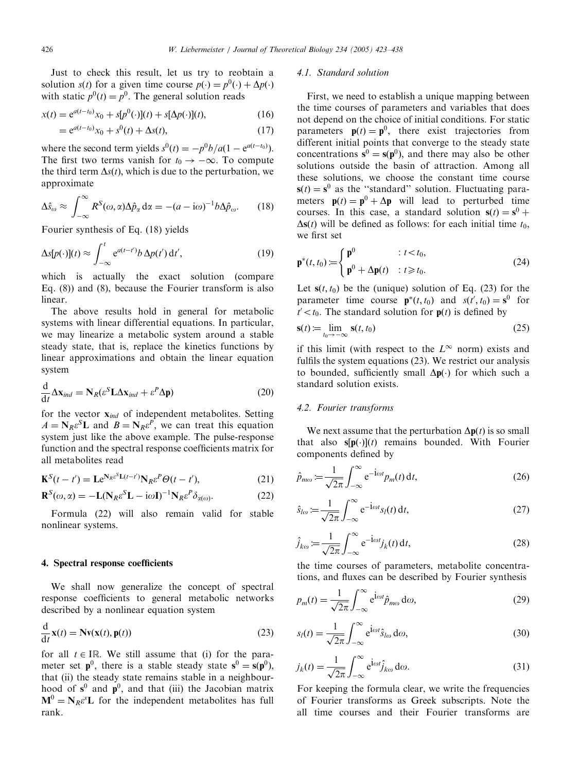Just to check this result, let us try to reobtain a solution  $s(t)$  for a given time course  $p(\cdot) = p^0(\cdot) + \Delta p(\cdot)$ with static  $p^{0}(t) = p^{0}$ . The general solution reads

$$
x(t) = e^{a(t-t_0)}x_0 + s[p^0(\cdot)](t) + s[\Delta p(\cdot)](t),
$$
\n(16)

$$
= e^{a(t-t_0)}x_0 + s^0(t) + \Delta s(t),
$$
\n(17)

where the second term yields  $s^0(t) = -p^0b/a(1 - e^{a(t-t_0)})$ . The first two terms vanish for  $t_0 \rightarrow -\infty$ . To compute the third term  $\Delta s(t)$ , which is due to the perturbation, we approximate

$$
\Delta\hat{s}_{\omega} \approx \int_{-\infty}^{\infty} R^{S}(\omega, \alpha) \Delta\hat{p}_{\alpha} d\alpha = -(a - i\omega)^{-1} b \Delta\hat{p}_{\omega}.
$$
 (18)

Fourier synthesis of Eq. (18) yields

$$
\Delta s[p(\cdot)](t) \approx \int_{-\infty}^{t} e^{a(t-t')} b \,\Delta p(t') \,\mathrm{d}t',\tag{19}
$$

which is actually the exact solution (compare Eq. (8)) and (8), because the Fourier transform is also linear.

The above results hold in general for metabolic systems with linear differential equations. In particular, we may linearize a metabolic system around a stable steady state, that is, replace the kinetics functions by linear approximations and obtain the linear equation system

$$
\frac{\mathrm{d}}{\mathrm{d}t} \Delta \mathbf{x}_{ind} = \mathbf{N}_R (\varepsilon^S \mathbf{L} \Delta \mathbf{x}_{ind} + \varepsilon^P \Delta \mathbf{p}) \tag{20}
$$

for the vector  $x_{ind}$  of independent metabolites. Setting  $A = N_R \varepsilon^{S} L$  and  $B = N_R \varepsilon^{P}$ , we can treat this equation system just like the above example. The pulse-response function and the spectral response coefficients matrix for all metabolites read

$$
\mathbf{K}^{S}(t-t') = \mathbf{L}e^{\mathbf{N}_{R}\varepsilon^{S}\mathbf{L}(t-t')}\mathbf{N}_{R}\varepsilon^{P}\Theta(t-t'),\tag{21}
$$

$$
\mathbf{R}^{S}(\omega,\alpha) = -\mathbf{L}(\mathbf{N}_{R}\varepsilon^{S}\mathbf{L} - i\omega\mathbf{I})^{-1}\mathbf{N}_{R}\varepsilon^{P}\delta_{\alpha(\omega)}.
$$
 (22)

Formula (22) will also remain valid for stable nonlinear systems.

## 4. Spectral response coefficients

We shall now generalize the concept of spectral response coefficients to general metabolic networks described by a nonlinear equation system

$$
\frac{\mathrm{d}}{\mathrm{d}t}\mathbf{x}(t) = \mathbf{N}\mathbf{v}(\mathbf{x}(t), \mathbf{p}(t))
$$
\n(23)

for all  $t \in \mathbb{IR}$ . We still assume that (i) for the parameter set  $p^0$ , there is a stable steady state  $s^0 = s(p^0)$ , that (ii) the steady state remains stable in a neighbourhood of  $s^0$  and  $p^0$ , and that (iii) the Jacobian matrix  $M^0 = N_R \varepsilon^{s} L$  for the independent metabolites has full rank.

#### 4.1. Standard solution

First, we need to establish a unique mapping between the time courses of parameters and variables that does not depend on the choice of initial conditions. For static parameters  $p(t) = p^0$ , there exist trajectories from different initial points that converge to the steady state concentrations  $\hat{s}^0 = s(p^0)$ , and there may also be other solutions outside the basin of attraction. Among all these solutions, we choose the constant time course  $s(t) = s^0$  as the "standard" solution. Fluctuating parameters  $p(t) = p^0 + \Delta p$  will lead to perturbed time courses. In this case, a standard solution  $s(t) = s^0 +$  $\Delta s(t)$  will be defined as follows: for each initial time  $t_0$ , we first set

$$
\mathbf{p}^*(t,t_0) \coloneqq \begin{cases} \mathbf{p}^0 & \text{if} < t_0, \\ \mathbf{p}^0 + \Delta \mathbf{p}(t) & \text{if} \geq t_0. \end{cases} \tag{24}
$$

Let  $s(t, t_0)$  be the (unique) solution of Eq. (23) for the parameter time course  $\mathbf{p}^*(t, t_0)$  and  $s(t', t_0) = \mathbf{s}^0$  for  $t' < t_0$ . The standard solution for  $p(t)$  is defined by

$$
\mathbf{s}(t) \coloneqq \lim_{t_0 \to -\infty} \mathbf{s}(t, t_0) \tag{25}
$$

if this limit (with respect to the  $L^{\infty}$  norm) exists and fulfils the system equations (23). We restrict our analysis to bounded, sufficiently small  $\Delta p(\cdot)$  for which such a standard solution exists.

## 4.2. Fourier transforms

We next assume that the perturbation  $\Delta p(t)$  is so small that also  $\mathbf{s}[\mathbf{p}(\cdot)](t)$  remains bounded. With Fourier components defined by

$$
\hat{p}_{m\omega} := \frac{1}{\sqrt{2\pi}} \int_{-\infty}^{\infty} e^{-i\omega t} p_m(t) dt,
$$
\n(26)

$$
\hat{s}_{l\omega} \coloneqq \frac{1}{\sqrt{2\pi}} \int_{-\infty}^{\infty} e^{-i\omega t} s_l(t) dt,
$$
\n(27)

$$
\hat{j}_{k\omega} := \frac{1}{\sqrt{2\pi}} \int_{-\infty}^{\infty} e^{-i\omega t} j_k(t) dt,
$$
\n(28)

the time courses of parameters, metabolite concentrations, and fluxes can be described by Fourier synthesis

$$
p_m(t) = \frac{1}{\sqrt{2\pi}} \int_{-\infty}^{\infty} e^{i\omega t} \hat{p}_{m\omega} d\omega,
$$
 (29)

$$
s_l(t) = \frac{1}{\sqrt{2\pi}} \int_{-\infty}^{\infty} e^{i\omega t} \hat{s}_{l\omega} d\omega,
$$
 (30)

$$
j_k(t) = \frac{1}{\sqrt{2\pi}} \int_{-\infty}^{\infty} e^{i\omega t} \hat{j}_{k\omega} d\omega.
$$
 (31)

For keeping the formula clear, we write the frequencies of Fourier transforms as Greek subscripts. Note the all time courses and their Fourier transforms are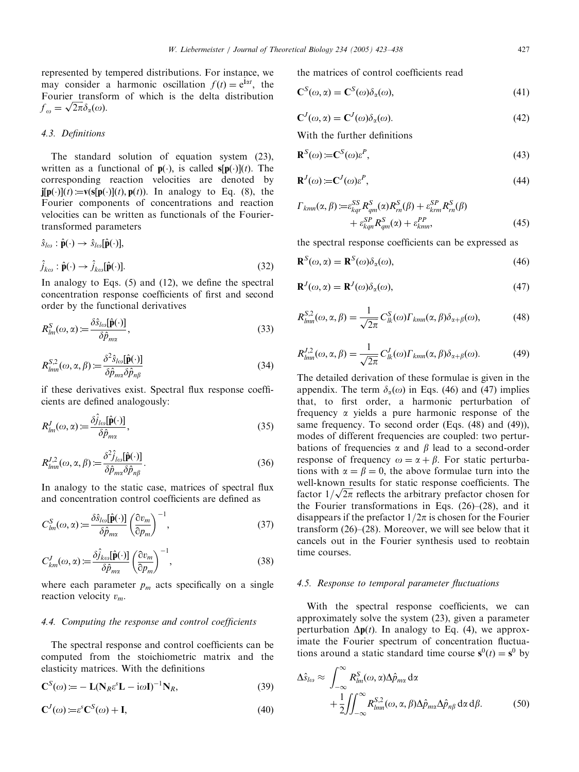represented by tempered distributions. For instance, we may consider a harmonic oscillation  $f(t) = e^{i\alpha t}$ , the Fourier transform of which is the delta distribution Fourier transform<br> $f_{\omega} = \sqrt{2\pi} \delta_{\alpha}(\omega)$ .

#### 4.3. Definitions

The standard solution of equation system (23), written as a functional of  $p(\cdot)$ , is called  $s[p(\cdot)](t)$ . The corresponding reaction velocities are denoted by  $\mathbf{j}[\mathbf{p}(\cdot)](t) := \mathbf{v}(\mathbf{s}[\mathbf{p}(\cdot)](t), \mathbf{p}(t)).$  In analogy to Eq. (8), the Fourier components of concentrations and reaction velocities can be written as functionals of the Fouriertransformed parameters

$$
\hat{s}_{l\omega} : \hat{\mathbf{p}}(\cdot) \to \hat{s}_{l\omega}[\hat{\mathbf{p}}(\cdot)],
$$
\n
$$
\hat{j}_{k\omega} : \hat{\mathbf{p}}(\cdot) \to \hat{j}_{k\omega}[\hat{\mathbf{p}}(\cdot)].
$$
\n(32)

In analogy to Eqs. (5) and (12), we define the spectral concentration response coefficients of first and second order by the functional derivatives

$$
R_{lm}^S(\omega,\alpha) := \frac{\delta \hat{s}_{l\omega}[\hat{\mathbf{p}}(\cdot)]}{\delta \hat{p}_{m\alpha}},\tag{33}
$$

$$
R_{lmn}^{S,2}(\omega,\alpha,\beta) := \frac{\delta^2 \hat{s}_{l\omega}[\hat{\mathbf{p}}(\cdot)]}{\delta \hat{p}_{m\alpha} \delta \hat{p}_{n\beta}}
$$
(34)

if these derivatives exist. Spectral flux response coefficients are defined analogously:

$$
R_{lm}^J(\omega,\alpha) := \frac{\delta \hat{j}_{l\omega}[\hat{\mathbf{p}}(\cdot)]}{\delta \hat{p}_{m\alpha}},\tag{35}
$$

$$
R_{lmn}^{J,2}(\omega,\alpha,\beta) := \frac{\delta^2 \hat{j}_{l\omega}[\hat{\mathbf{p}}(\cdot)]}{\delta \hat{p}_{m\alpha} \delta \hat{p}_{n\beta}}.
$$
\n(36)

In analogy to the static case, matrices of spectral flux and concentration control coefficients are defined as

$$
C_{lm}^{S}(\omega,\alpha) := \frac{\delta \hat{s}_{l\omega}[\hat{\mathbf{p}}(\cdot)]}{\delta \hat{p}_{m\alpha}} \left(\frac{\partial v_m}{\partial p_m}\right)^{-1},\tag{37}
$$

$$
C_{km}^{J}(\omega,\alpha) \coloneqq \frac{\delta \hat{j}_{k\omega}[\hat{\mathbf{p}}(\cdot)]}{\delta \hat{p}_{m\alpha}} \left(\frac{\partial v_m}{\partial p_m}\right)^{-1},\tag{38}
$$

where each parameter  $p_m$  acts specifically on a single reaction velocity  $v_m$ .

## 4.4. Computing the response and control coefficients

The spectral response and control coefficients can be computed from the stoichiometric matrix and the elasticity matrices. With the definitions

$$
\mathbf{C}^{S}(\omega) := -\mathbf{L}(\mathbf{N}_{R}\varepsilon^{s}\mathbf{L} - \mathrm{i}\omega\mathbf{I})^{-1}\mathbf{N}_{R},\tag{39}
$$

$$
\mathbf{C}^{J}(\omega) \coloneqq \varepsilon^{s} \mathbf{C}^{S}(\omega) + \mathbf{I},\tag{40}
$$

the matrices of control coefficients read

$$
\mathbf{C}^{S}(\omega,\alpha) = \mathbf{C}^{S}(\omega)\delta_{\alpha}(\omega),\tag{41}
$$

$$
\mathbf{C}^{J}(\omega,\alpha) = \mathbf{C}^{J}(\omega)\delta_{\alpha}(\omega). \tag{42}
$$

With the further definitions

$$
\mathbf{R}^S(\omega) \coloneqq \mathbf{C}^S(\omega) \varepsilon^P,\tag{43}
$$

$$
\mathbf{R}^{J}(\omega) := \mathbf{C}^{J}(\omega)\varepsilon^{P},\tag{44}
$$

$$
\Gamma_{kmn}(\alpha,\beta) := \varepsilon_{kqr}^{SS} R_{qm}^S(\alpha) R_m^S(\beta) + \varepsilon_{kmn}^{SP} R_m^S(\beta)
$$
  
+  $\varepsilon_{kqn}^{SP} R_{qm}^S(\alpha) + \varepsilon_{kmn}^{PP}$ , (45)

the spectral response coefficients can be expressed as

$$
\mathbf{R}^{S}(\omega,\alpha) = \mathbf{R}^{S}(\omega)\delta_{\alpha}(\omega),\tag{46}
$$

$$
\mathbf{R}^{J}(\omega,\alpha) = \mathbf{R}^{J}(\omega)\delta_{\alpha}(\omega),\tag{47}
$$

$$
R_{lmn}^{S,2}(\omega,\alpha,\beta) = \frac{1}{\sqrt{2\pi}} C_{lk}^{S}(\omega) \Gamma_{kmn}(\alpha,\beta) \delta_{\alpha+\beta}(\omega), \tag{48}
$$

$$
R_{lmn}^{J,2}(\omega,\alpha,\beta) = \frac{1}{\sqrt{2\pi}} C_{lk}^{J}(\omega) \Gamma_{kmn}(\alpha,\beta) \delta_{\alpha+\beta}(\omega). \tag{49}
$$

The detailed derivation of these formulae is given in the appendix. The term  $\delta_{\alpha}(\omega)$  in Eqs. (46) and (47) implies that, to first order, a harmonic perturbation of frequency  $\alpha$  yields a pure harmonic response of the same frequency. To second order (Eqs. (48) and (49)), modes of different frequencies are coupled: two perturbations of frequencies  $\alpha$  and  $\beta$  lead to a second-order response of frequency  $\omega = \alpha + \beta$ . For static perturbations with  $\alpha = \beta = 0$ , the above formulae turn into the well-known results for static response coefficients. The well-known results for static response coefficients. The factor  $1/\sqrt{2\pi}$  reflects the arbitrary prefactor chosen for the Fourier transformations in Eqs. (26)–(28), and it disappears if the prefactor  $1/2\pi$  is chosen for the Fourier transform (26)–(28). Moreover, we will see below that it cancels out in the Fourier synthesis used to reobtain time courses.

# 4.5. Response to temporal parameter fluctuations

With the spectral response coefficients, we can approximately solve the system (23), given a parameter perturbation  $\Delta p(t)$ . In analogy to Eq. (4), we approximate the Fourier spectrum of concentration fluctuations around a static standard time course  $s^0(t) = s^0$  by

$$
\Delta \hat{s}_{l\omega} \approx \int_{-\infty}^{\infty} R_{lm}^{S}(\omega, \alpha) \Delta \hat{p}_{m\alpha} d\alpha + \frac{1}{2} \iint_{-\infty}^{\infty} R_{lmn}^{S,2}(\omega, \alpha, \beta) \Delta \hat{p}_{m\alpha} \Delta \hat{p}_{n\beta} d\alpha d\beta.
$$
 (50)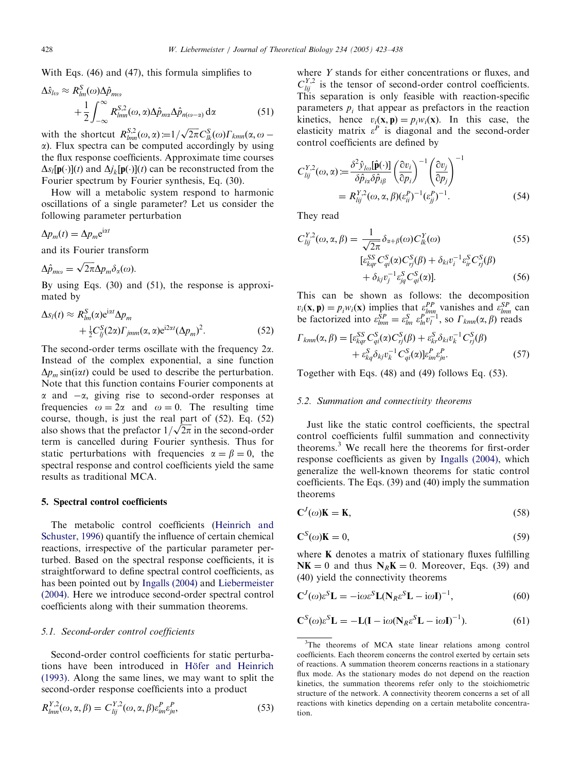With Eqs. (46) and (47), this formula simplifies to

$$
\Delta \hat{s}_{l\omega} \approx R_{lm}^{S}(\omega) \Delta \hat{p}_{m\omega} + \frac{1}{2} \int_{-\infty}^{\infty} R_{lmn}^{S,2}(\omega, \alpha) \Delta \hat{p}_{m\alpha} \Delta \hat{p}_{n(\omega-\alpha)} d\alpha \qquad (51)
$$

with the shortcut  $R_{lmn}^{S,2}(\omega, \alpha) = 1/\sqrt{2\pi} C_{lk}^{S}(\omega) \Gamma_{kmn}(\alpha, \omega - \alpha)$ a). Flux spectra can be computed accordingly by using the flux response coefficients. Approximate time courses  $\Delta s_l[\mathbf{p}(\cdot)](t)$  and  $\Delta j_k[\mathbf{p}(\cdot)](t)$  can be reconstructed from the Fourier spectrum by Fourier synthesis, Eq. (30).

How will a metabolic system respond to harmonic oscillations of a single parameter? Let us consider the following parameter perturbation

 $\Delta p_m(t) = \Delta p_m e^{i\alpha t}$ 

and its Fourier transform

$$
\Delta \hat{p}_{m\omega} = \sqrt{2\pi} \Delta p_m \delta_{\alpha}(\omega).
$$

By using Eqs. (30) and (51), the response is approximated by

$$
\Delta s_l(t) \approx R_{lm}^S(\alpha) e^{i\alpha t} \Delta p_m + \frac{1}{2} C_{lj}^S(2\alpha) \Gamma_{jmm}(\alpha, \alpha) e^{i2\alpha t} (\Delta p_m)^2.
$$
\n(52)

The second-order terms oscillate with the frequency  $2\alpha$ . Instead of the complex exponential, a sine function  $\Delta p_m$  sin(i $\alpha t$ ) could be used to describe the perturbation. Note that this function contains Fourier components at  $\alpha$  and  $-\alpha$ , giving rise to second-order responses at frequencies  $\omega = 2\alpha$  and  $\omega = 0$ . The resulting time course, though, is just the real part of (52). Eq. (52) course, though, is just the real part or (52). Eq. (52) also shows that the prefactor  $1/\sqrt{2\pi}$  in the second-order term is cancelled during Fourier synthesis. Thus for static perturbations with frequencies  $\alpha = \beta = 0$ , the spectral response and control coefficients yield the same results as traditional MCA.

#### 5. Spectral control coefficients

The metabolic control coefficients [\(Heinrich and](#page-15-0) [Schuster, 1996](#page-15-0)) quantify the influence of certain chemical reactions, irrespective of the particular parameter perturbed. Based on the spectral response coefficients, it is straightforward to define spectral control coefficients, as has been pointed out by [Ingalls \(2004\)](#page-15-0) and [Liebermeister](#page-15-0) [\(2004\).](#page-15-0) Here we introduce second-order spectral control coefficients along with their summation theorems.

#### 5.1. Second-order control coefficients

Second-order control coefficients for static perturbations have been introduced in Höfer and Heinrich [\(1993\)](#page-15-0). Along the same lines, we may want to split the second-order response coefficients into a product

$$
R_{lmn}^{Y,2}(\omega,\alpha,\beta) = C_{lij}^{Y,2}(\omega,\alpha,\beta)\varepsilon_{im}^P\varepsilon_{jn}^P,\tag{53}
$$

where Y stands for either concentrations or fluxes, and  $C_{lij}^{Y,2}$  is the tensor of second-order control coefficients. This separation is only feasible with reaction-specific parameters  $p_i$ , that appear as prefactors in the reaction kinetics, hence  $v_i(\mathbf{x}, \mathbf{p}) = p_i w_i(\mathbf{x})$ . In this case, the elasticity matrix  $\varepsilon^P$  is diagonal and the second-order control coefficients are defined by

$$
C_{lij}^{Y,2}(\omega,\alpha) := \frac{\delta^2 \hat{y}_{I\omega}[\hat{\mathbf{p}}(\cdot)]}{\delta \hat{p}_{i\alpha} \delta \hat{p}_{i\beta}} \left(\frac{\partial v_i}{\partial p_i}\right)^{-1} \left(\frac{\partial v_j}{\partial p_j}\right)^{-1}
$$

$$
= R_{lij}^{Y,2}(\omega,\alpha,\beta) (\varepsilon_{ij}^P)^{-1} (\varepsilon_{jj}^P)^{-1}.
$$
 (54)

They read

$$
C_{lij}^{Y,2}(\omega,\alpha,\beta) = \frac{1}{\sqrt{2\pi}} \delta_{\alpha+\beta}(\omega) C_{lk}^{Y}(\omega)
$$
(55)  

$$
[\varepsilon_{kqr}^{SS} C_{qi}^{S}(\alpha) C_{rj}^{S}(\beta) + \delta_{ki} v_{i}^{-1} \varepsilon_{ir}^{S} C_{rj}^{S}(\beta)
$$

$$
+ \delta_{kj} v_{j}^{-1} \varepsilon_{jq}^{S} C_{qi}^{S}(\alpha)].
$$

This can be shown as follows: the decomposition  $v_i(\mathbf{x}, \mathbf{p}) = p_i w_i(\mathbf{x})$  implies that  $\varepsilon_{lmn}^{PP}$  vanishes and  $\varepsilon_{lmn}^{SP}$  can be factorized into  $\varepsilon_{lmn}^{SP} = \varepsilon_{lm}^{S} \varepsilon_{ln}^{P} \overline{v}_{l}^{-1}$ , so  $\Gamma_{kmn}(\alpha, \beta)$  reads

$$
\Gamma_{kmn}(\alpha,\beta) = [\varepsilon_{kqr}^{SS} C_{qi}^{S}(\alpha) C_{rj}^{S}(\beta) + \varepsilon_{kr}^{S} \delta_{ki} v_{k}^{-1} C_{rj}^{S}(\beta) \n+ \varepsilon_{kq}^{S} \delta_{kj} v_{k}^{-1} C_{qi}^{S}(\alpha)] \varepsilon_{im}^{P} \varepsilon_{jn}^{P}.
$$
\n(57)

Together with Eqs. (48) and (49) follows Eq. (53).

#### 5.2. Summation and connectivity theorems

Just like the static control coefficients, the spectral control coefficients fulfil summation and connectivity theorems.<sup>3</sup> We recall here the theorems for first-order response coefficients as given by [Ingalls \(2004\)](#page-15-0), which generalize the well-known theorems for static control coefficients. The Eqs. (39) and (40) imply the summation theorems

$$
\mathbf{C}^{J}(\omega)\mathbf{K} = \mathbf{K},\tag{58}
$$

$$
\mathbf{C}^{S}(\omega)\mathbf{K} = 0,\tag{59}
$$

where **K** denotes a matrix of stationary fluxes fulfilling  $NK = 0$  and thus  $N_RK = 0$ . Moreover, Eqs. (39) and (40) yield the connectivity theorems

$$
\mathbf{C}^{J}(\omega)\varepsilon^{S}\mathbf{L} = -\mathrm{i}\omega\varepsilon^{S}\mathbf{L}(\mathbf{N}_{R}\varepsilon^{S}\mathbf{L} - \mathrm{i}\omega\mathbf{I})^{-1},\tag{60}
$$

$$
\mathbf{C}^{S}(\omega)\varepsilon^{S}\mathbf{L} = -\mathbf{L}(\mathbf{I} - i\omega(\mathbf{N}_{R}\varepsilon^{S}\mathbf{L} - i\omega\mathbf{I})^{-1}).
$$
 (61)

<sup>&</sup>lt;sup>3</sup>The theorems of MCA state linear relations among control coefficients. Each theorem concerns the control exerted by certain sets of reactions. A summation theorem concerns reactions in a stationary flux mode. As the stationary modes do not depend on the reaction kinetics, the summation theorems refer only to the stoichiometric structure of the network. A connectivity theorem concerns a set of all reactions with kinetics depending on a certain metabolite concentration.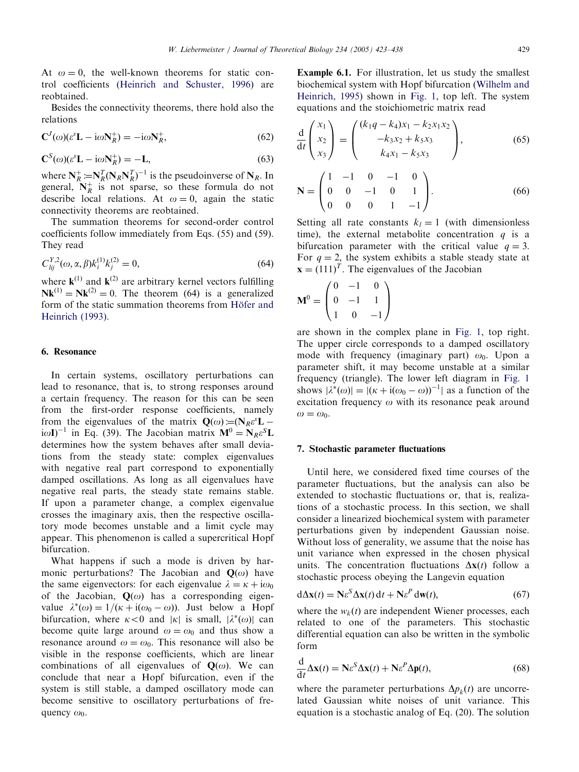At  $\omega = 0$ , the well-known theorems for static control coefficients [\(Heinrich and Schuster, 1996\)](#page-15-0) are reobtained.

Besides the connectivity theorems, there hold also the relations

$$
\mathbf{C}^{J}(\omega)(\varepsilon^{s}\mathbf{L} - \mathrm{i}\omega \mathbf{N}_{R}^{+}) = -\mathrm{i}\omega \mathbf{N}_{R}^{+},\tag{62}
$$

$$
\mathbf{C}^{S}(\omega)(\varepsilon^{s}\mathbf{L} - \mathrm{i}\omega \mathbf{N}_{R}^{+}) = -\mathbf{L},\tag{63}
$$

where  $N_R^+ := N_R^T (N_R N_R^T)^{-1}$  is the pseudoinverse of  $N_R$ . In general,  $N_R^+$  is not sparse, so these formula do not describe local relations. At  $\omega = 0$ , again the static connectivity theorems are reobtained.

The summation theorems for second-order control coefficients follow immediately from Eqs. (55) and (59). They read

$$
C_{lij}^{Y,2}(\omega,\alpha,\beta)k_i^{(1)}k_j^{(2)} = 0,
$$
\n(64)

where  $\mathbf{k}^{(1)}$  and  $\mathbf{k}^{(2)}$  are arbitrary kernel vectors fulfilling  $Nk^{(1)} = Nk^{(2)} = 0$ . The theorem (64) is a generalized form of the static summation theorems from Höfer and [Heinrich \(1993\).](#page-15-0)

## 6. Resonance

In certain systems, oscillatory perturbations can lead to resonance, that is, to strong responses around a certain frequency. The reason for this can be seen from the first-order response coefficients, namely from the eigenvalues of the matrix  $\mathbf{Q}(\omega) = (\mathbf{N}_R \varepsilon^s \mathbf{L} - \mathbf{N}_R \varepsilon^s \mathbf{L})$  $i\omega I$ <sup>-1</sup> in Eq. (39). The Jacobian matrix  $M^0 = N_R \varepsilon^S I$ determines how the system behaves after small deviations from the steady state: complex eigenvalues with negative real part correspond to exponentially damped oscillations. As long as all eigenvalues have negative real parts, the steady state remains stable. If upon a parameter change, a complex eigenvalue crosses the imaginary axis, then the respective oscillatory mode becomes unstable and a limit cycle may appear. This phenomenon is called a supercritical Hopf bifurcation.

What happens if such a mode is driven by harmonic perturbations? The Jacobian and  $Q(\omega)$  have the same eigenvectors: for each eigenvalue  $\lambda = \kappa + i\omega_0$ of the Jacobian,  $\mathbf{Q}(\omega)$  has a corresponding eigenvalue  $\lambda^*(\omega) = 1/(\kappa + i(\omega_0 - \omega))$ . Just below a Hopf bifurcation, where  $\kappa < 0$  and  $|\kappa|$  is small,  $|\lambda^*(\omega)|$  can become quite large around  $\omega = \omega_0$  and thus show a resonance around  $\omega = \omega_0$ . This resonance will also be visible in the response coefficients, which are linear combinations of all eigenvalues of  $\mathbf{Q}(\omega)$ . We can conclude that near a Hopf bifurcation, even if the system is still stable, a damped oscillatory mode can become sensitive to oscillatory perturbations of frequency  $\omega_0$ .

Example 6.1. For illustration, let us study the smallest biochemical system with Hopf bifurcation ([Wilhelm and](#page-15-0) [Heinrich, 1995\)](#page-15-0) shown in [Fig. 1](#page-7-0), top left. The system equations and the stoichiometric matrix read

$$
\frac{d}{dt} \begin{pmatrix} x_1 \\ x_2 \\ x_3 \end{pmatrix} = \begin{pmatrix} (k_1q - k_4)x_1 - k_2x_1x_2 \\ -k_3x_2 + k_5x_3 \\ k_4x_1 - k_5x_3 \end{pmatrix},
$$
(65)

$$
\mathbf{N} = \begin{pmatrix} 1 & -1 & 0 & -1 & 0 \\ 0 & 0 & -1 & 0 & 1 \\ 0 & 0 & 0 & 1 & -1 \end{pmatrix}.
$$
 (66)

Setting all rate constants  $k_l = 1$  (with dimensionless time), the external metabolite concentration  $q$  is a bifurcation parameter with the critical value  $q = 3$ . For  $q = 2$ , the system exhibits a stable steady state at  $\mathbf{x} = (111)^T$ . The eigenvalues of the Jacobian

$$
\mathbf{M}^{0} = \begin{pmatrix} 0 & -1 & 0 \\ 0 & -1 & 1 \\ 1 & 0 & -1 \end{pmatrix}
$$

are shown in the complex plane in [Fig. 1,](#page-7-0) top right. The upper circle corresponds to a damped oscillatory mode with frequency (imaginary part)  $\omega_0$ . Upon a parameter shift, it may become unstable at a similar frequency (triangle). The lower left diagram in [Fig. 1](#page-7-0) shows  $|\lambda^*(\omega)| = |(\kappa + i(\omega_0 - \omega))^{-1}|$  as a function of the excitation frequency  $\omega$  with its resonance peak around  $\omega = \omega_0.$ 

## 7. Stochastic parameter fluctuations

Until here, we considered fixed time courses of the parameter fluctuations, but the analysis can also be extended to stochastic fluctuations or, that is, realizations of a stochastic process. In this section, we shall consider a linearized biochemical system with parameter perturbations given by independent Gaussian noise. Without loss of generality, we assume that the noise has unit variance when expressed in the chosen physical units. The concentration fluctuations  $\Delta x(t)$  follow a stochastic process obeying the Langevin equation

$$
d\Delta x(t) = N\varepsilon^{S} \Delta x(t) dt + N\varepsilon^{P} dw(t),
$$
\n(67)

where the  $w_k(t)$  are independent Wiener processes, each related to one of the parameters. This stochastic differential equation can also be written in the symbolic form

$$
\frac{\mathrm{d}}{\mathrm{d}t} \Delta \mathbf{x}(t) = \mathbf{N} \varepsilon^S \Delta \mathbf{x}(t) + \mathbf{N} \varepsilon^P \Delta \mathbf{p}(t),\tag{68}
$$

where the parameter perturbations  $\Delta p_k(t)$  are uncorrelated Gaussian white noises of unit variance. This equation is a stochastic analog of Eq. (20). The solution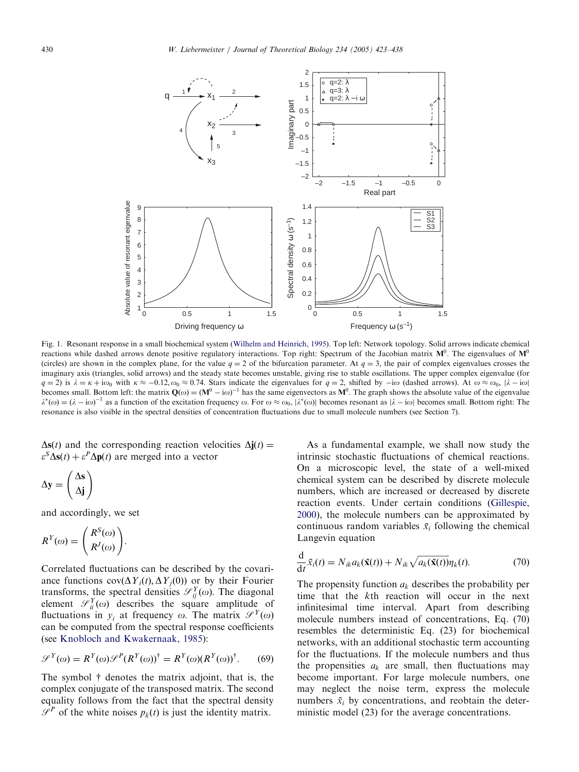<span id="page-7-0"></span>

Fig. 1. Resonant response in a small biochemical system ([Wilhelm and Heinrich, 1995\)](#page-15-0). Top left: Network topology. Solid arrows indicate chemical reactions while dashed arrows denote positive regulatory interactions. Top right: Spectrum of the Jacobian matrix  $M^0$ . The eigenvalues of  $M^0$ (circles) are shown in the complex plane, for the value  $q = 2$  of the bifurcation parameter. At  $q = 3$ , the pair of complex eigenvalues crosses the imaginary axis (triangles, solid arrows) and the steady state becomes unstable, giving rise to stable oscillations. The upper complex eigenvalue (for  $q = 2$ ) is  $\lambda = \kappa + i\omega_0$  with  $\kappa \approx -0.12$ ,  $\omega_0 \approx 0.74$ . Stars indicate the eigenvalues for  $q = 2$ , shifted by  $-i\omega$  (dashed arrows). At  $\omega \approx \omega_0$ ,  $|\lambda - i\omega|$ becomes small. Bottom left: the matrix  $\mathbf{Q}(\omega) = (\mathbf{M}^0 - i\omega)^{-1}$  has the same eigenvectors as  $\mathbf{M}^0$ . The graph shows the absolute value of the eigenvalue  $\lambda^*(\omega) = (\lambda - i\omega)^{-1}$  as a function of the excitation frequency  $\omega$ . For  $\omega \approx \omega_0$ ,  $|\lambda^*(\omega)|$  becomes resonant as  $|\lambda - i\omega|$  becomes small. Bottom right: The resonance is also visible in the spectral densities of concentration fluctuations due to small molecule numbers (see Section 7).

 $\Delta$ s(*t*) and the corresponding reaction velocities  $\Delta$ **j** $(t)$  =  $\varepsilon^{S} \Delta s(t) + \varepsilon^{P} \Delta p(t)$  are merged into a vector

$$
\Delta y = \begin{pmatrix} \Delta s \\ \Delta j \end{pmatrix}
$$

and accordingly, we set

$$
R^{Y}(\omega) = \begin{pmatrix} R^{S}(\omega) \\ R^{J}(\omega) \end{pmatrix}.
$$

Correlated fluctuations can be described by the covariance functions  $cov(\Delta Y_i(t), \Delta Y_i(0))$  or by their Fourier transforms, the spectral densities  $\mathcal{S}_{ij}^{Y}(\omega)$ . The diagonal element  $\mathscr{S}_{ii}^Y(\omega)$  describes the square amplitude of fluctuations in  $y_i$  at frequency  $\omega$ . The matrix  $\mathscr{S}^{Y}(\omega)$ can be computed from the spectral response coefficients (see [Knobloch and Kwakernaak, 1985](#page-15-0)):

$$
\mathcal{S}^{Y}(\omega) = R^{Y}(\omega)\mathcal{S}^{P}(R^{Y}(\omega))^{\dagger} = R^{Y}(\omega)(R^{Y}(\omega))^{\dagger}.
$$
 (69)

The symbol  $\dagger$  denotes the matrix adjoint, that is, the complex conjugate of the transposed matrix. The second equality follows from the fact that the spectral density  $\mathscr{S}^P$  of the white noises  $p_k(t)$  is just the identity matrix.

As a fundamental example, we shall now study the intrinsic stochastic fluctuations of chemical reactions. On a microscopic level, the state of a well-mixed chemical system can be described by discrete molecule numbers, which are increased or decreased by discrete reaction events. Under certain conditions ([Gillespie,](#page-15-0) [2000](#page-15-0)), the molecule numbers can be approximated by continuous random variables  $\bar{x}_i$  following the chemical Langevin equation

$$
\frac{\mathrm{d}}{\mathrm{d}t}\bar{x}_i(t) = N_{ik}a_k(\bar{\mathbf{x}}(t)) + N_{ik}\sqrt{a_k(\bar{\mathbf{x}}(t))}\eta_k(t). \tag{70}
$$

The propensity function  $a_k$  describes the probability per time that the kth reaction will occur in the next infinitesimal time interval. Apart from describing molecule numbers instead of concentrations, Eq. (70) resembles the deterministic Eq. (23) for biochemical networks, with an additional stochastic term accounting for the fluctuations. If the molecule numbers and thus the propensities  $a_k$  are small, then fluctuations may become important. For large molecule numbers, one may neglect the noise term, express the molecule numbers  $\bar{x}_i$  by concentrations, and reobtain the deterministic model (23) for the average concentrations.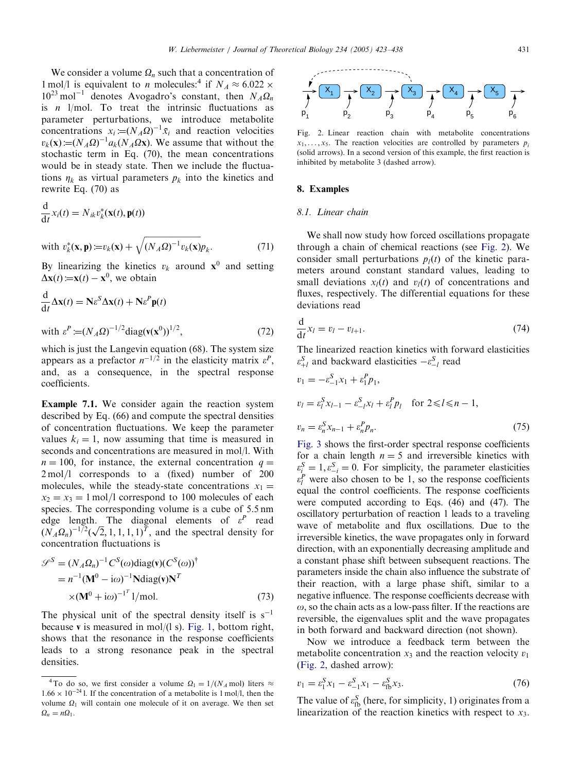$(72)$ 

<span id="page-8-0"></span>We consider a volume  $\Omega_n$  such that a concentration of 1 mol/l is equivalent to *n* molecules:<sup>4</sup> if  $N_A \approx 6.022 \times$  $10^{23}$  mol<sup>-1</sup> denotes Avogadro's constant, then  $N_A\Omega_n$ is  $n$  l/mol. To treat the intrinsic fluctuations as parameter perturbations, we introduce metabolite concentrations  $x_i := (N_A \Omega)^{-1} \bar{x}_i$  and reaction velocities  $v_k(\mathbf{x}) \coloneqq (N_A \Omega)^{-1} a_k(N_A \Omega \mathbf{x})$ . We assume that without the stochastic term in Eq. (70), the mean concentrations would be in steady state. Then we include the fluctuations  $\eta_k$  as virtual parameters  $p_k$  into the kinetics and rewrite Eq. (70) as

$$
\frac{d}{dt}x_i(t) = N_{ik}v_k^*(\mathbf{x}(t), \mathbf{p}(t))
$$
\nwith  $v_k^*(\mathbf{x}, \mathbf{p}) := v_k(\mathbf{x}) + \sqrt{(N_A \Omega)^{-1} v_k(\mathbf{x})} p_k.$  (71)

By linearizing the kinetics  $v_k$  around  $\mathbf{x}^0$  and setting  $\Delta$ **x**(*t*) = **x**(*t*) – **x**<sup>0</sup>, we obtain

$$
\frac{d}{dt} \Delta \mathbf{x}(t) = \mathbf{N} \varepsilon^{S} \Delta \mathbf{x}(t) + \mathbf{N} \varepsilon^{P} \mathbf{p}(t)
$$
\nwith 
$$
\varepsilon^{P} := (N_{A} \Omega)^{-1/2} \text{diag}(\mathbf{v}(\mathbf{x}^{0}))^{1/2},
$$
\n(72)

which is just the Langevin equation (68). The system size appears as a prefactor  $n^{-1/2}$  in the elasticity matrix  $\varepsilon^P$ , and, as a consequence, in the spectral response coefficients.

Example 7.1. We consider again the reaction system described by Eq. (66) and compute the spectral densities of concentration fluctuations. We keep the parameter values  $k_i = 1$ , now assuming that time is measured in seconds and concentrations are measured in mol/l. With  $n = 100$ , for instance, the external concentration  $q =$  $2 \text{ mol/l}$  corresponds to a (fixed) number of 200 molecules, while the steady-state concentrations  $x_1 =$  $x_2 = x_3 = 1$  mol/l correspond to 100 molecules of each species. The corresponding volume is a cube of 5.5 nm edge length. The diagonal elements of  $\varepsilon^P$  read edge length. The diagonal elements of  $\varepsilon$  read  $(N_A \Omega_n)^{-1/2} (\sqrt{2}, 1, 1, 1, 1)^T$ , and the spectral density for concentration fluctuations is

$$
\mathcal{S}^{S} = (N_A \Omega_n)^{-1} C^{S}(\omega) \text{diag}(\mathbf{v}) (C^{S}(\omega))^{\dagger}
$$
  
=  $n^{-1} (\mathbf{M}^{0} - i\omega)^{-1} \mathbf{N} \text{diag}(\mathbf{v}) \mathbf{N}^{T}$   
× $(\mathbf{M}^{0} + i\omega)^{-1^{T}} \mathbf{1} / \text{mol.}$  (73)

The physical unit of the spectral density itself is  $s^{-1}$ because v is measured in mol/ $(1 \text{ s})$ . [Fig. 1](#page-7-0), bottom right, shows that the resonance in the response coefficients leads to a strong resonance peak in the spectral densities.



Fig. 2. Linear reaction chain with metabolite concentrations  $x_1, \ldots, x_5$ . The reaction velocities are controlled by parameters  $p_i$ (solid arrows). In a second version of this example, the first reaction is inhibited by metabolite 3 (dashed arrow).

#### 8. Examples

## 8.1. Linear chain

We shall now study how forced oscillations propagate through a chain of chemical reactions (see Fig. 2). We consider small perturbations  $p_l(t)$  of the kinetic parameters around constant standard values, leading to small deviations  $x_l(t)$  and  $v_l(t)$  of concentrations and fluxes, respectively. The differential equations for these deviations read

$$
\frac{\mathrm{d}}{\mathrm{d}t}x_l = v_l - v_{l+1}.\tag{74}
$$

The linearized reaction kinetics with forward elasticities  $\varepsilon_{+l}^S$  and backward elasticities  $-\varepsilon_{-l}^S$  read

$$
v_1 = -\varepsilon_{-1}^{S} x_1 + \varepsilon_1^{P} p_1,
$$
  
\n
$$
v_l = \varepsilon_l^{S} x_{l-1} - \varepsilon_{-l}^{S} x_l + \varepsilon_l^{P} p_l \quad \text{for } 2 \le l \le n - 1,
$$
  
\n
$$
v_n = \varepsilon_n^{S} x_{n-1} + \varepsilon_n^{P} p_n.
$$
\n(75)

[Fig. 3](#page-9-0) shows the first-order spectral response coefficients for a chain length  $n = 5$  and irreversible kinetics with  $\varepsilon_{i}^{S} = 1, \varepsilon_{-i}^{S} = 0$ . For simplicity, the parameter elasticities  $\varepsilon_l^P$  were also chosen to be 1, so the response coefficients equal the control coefficients. The response coefficients were computed according to Eqs. (46) and (47). The oscillatory perturbation of reaction 1 leads to a traveling wave of metabolite and flux oscillations. Due to the irreversible kinetics, the wave propagates only in forward direction, with an exponentially decreasing amplitude and a constant phase shift between subsequent reactions. The parameters inside the chain also influence the substrate of their reaction, with a large phase shift, similar to a negative influence. The response coefficients decrease with  $\omega$ , so the chain acts as a low-pass filter. If the reactions are reversible, the eigenvalues split and the wave propagates in both forward and backward direction (not shown).

Now we introduce a feedback term between the metabolite concentration  $x_3$  and the reaction velocity  $v_1$ (Fig. 2, dashed arrow):

$$
v_1 = \varepsilon_1^S x_1 - \varepsilon_{-1}^S x_1 - \varepsilon_{\text{fb}}^S x_3. \tag{76}
$$

The value of  $\varepsilon_{\text{fb}}^{S}$  (here, for simplicity, 1) originates from a linearization of the reaction kinetics with respect to  $x_3$ .

<sup>&</sup>lt;sup>4</sup>To do so, we first consider a volume  $\Omega_1 = 1/(N_A \text{mol})$  liters  $\approx$  $1.66 \times 10^{-24}$  l. If the concentration of a metabolite is 1 mol/l, then the volume  $\Omega_1$  will contain one molecule of it on average. We then set  $\Omega_n = n\Omega_1.$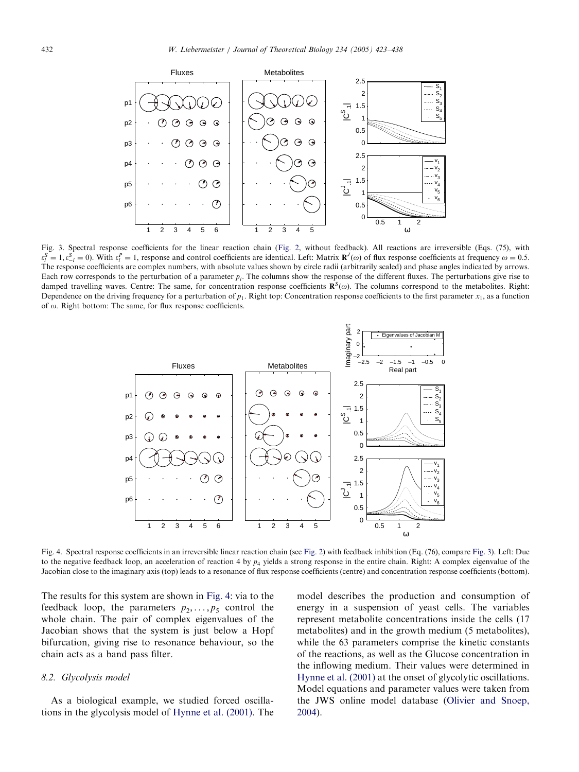<span id="page-9-0"></span>

Fig. 3. Spectral response coefficients for the linear reaction chain ([Fig. 2](#page-8-0), without feedback). All reactions are irreversible (Eqs. (75), with  $\varepsilon_l^S = 1, \varepsilon_{-l}^S = 0$ ). With  $\varepsilon_l^P = 1$ , response and control coefficients are identical. Left: Matrix  $\mathbf{R}^J(\omega)$  of flux response coefficients at frequency  $\omega = 0.5$ . The response coefficients are complex numbers, with absolute values shown by circle radii (arbitrarily scaled) and phase angles indicated by arrows. Each row corresponds to the perturbation of a parameter  $p_i$ . The columns show the response of the different fluxes. The perturbations give rise to damped travelling waves. Centre: The same, for concentration response coefficients  $\mathbb{R}^{S}(\omega)$ . The columns correspond to the metabolites. Right: Dependence on the driving frequency for a perturbation of  $p_1$ . Right top: Concentration response coefficients to the first parameter  $x_1$ , as a function of  $\omega$ . Right bottom: The same, for flux response coefficients.



Fig. 4. Spectral response coefficients in an irreversible linear reaction chain (see [Fig. 2\)](#page-8-0) with feedback inhibition (Eq. (76), compare Fig. 3). Left: Due to the negative feedback loop, an acceleration of reaction 4 by  $p_4$  yields a strong response in the entire chain. Right: A complex eigenvalue of the Jacobian close to the imaginary axis (top) leads to a resonance of flux response coefficients (centre) and concentration response coefficients (bottom).

The results for this system are shown in Fig. 4: via to the feedback loop, the parameters  $p_2, \ldots, p_5$  control the whole chain. The pair of complex eigenvalues of the Jacobian shows that the system is just below a Hopf bifurcation, giving rise to resonance behaviour, so the chain acts as a band pass filter.

## 8.2. Glycolysis model

As a biological example, we studied forced oscillations in the glycolysis model of [Hynne et al. \(2001\).](#page-15-0) The model describes the production and consumption of energy in a suspension of yeast cells. The variables represent metabolite concentrations inside the cells (17 metabolites) and in the growth medium (5 metabolites), while the 63 parameters comprise the kinetic constants of the reactions, as well as the Glucose concentration in the inflowing medium. Their values were determined in [Hynne et al. \(2001\)](#page-15-0) at the onset of glycolytic oscillations. Model equations and parameter values were taken from the JWS online model database [\(Olivier and Snoep,](#page-15-0) [2004](#page-15-0)).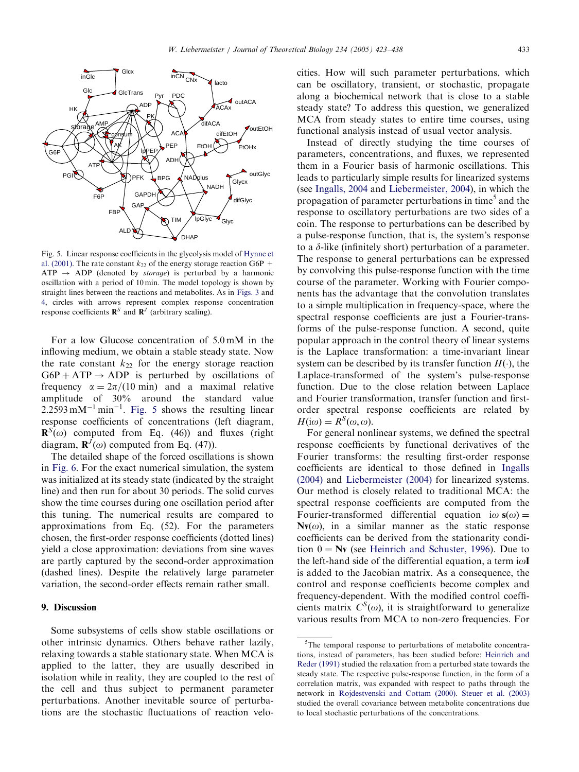<span id="page-10-0"></span>

Fig. 5. Linear response coefficients in the glycolysis model of [Hynne et](#page-15-0) [al. \(2001\)](#page-15-0). The rate constant  $k_{22}$  of the energy storage reaction G6P +  $ATP \rightarrow ADP$  (denoted by *storage*) is perturbed by a harmonic oscillation with a period of 10 min. The model topology is shown by straight lines between the reactions and metabolites. As in [Figs. 3](#page-9-0) and [4](#page-9-0), circles with arrows represent complex response concentration response coefficients  $\mathbb{R}^S$  and  $\mathbb{R}^J$  (arbitrary scaling).

For a low Glucose concentration of 5.0 mM in the inflowing medium, we obtain a stable steady state. Now the rate constant  $k_{22}$  for the energy storage reaction  $G6P + ATP \rightarrow ADP$  is perturbed by oscillations of frequency  $\alpha = 2\pi/(10 \text{ min})$  and a maximal relative amplitude of 30% around the standard value  $2.2593 \text{ mM}^{-1} \text{ min}^{-1}$ . Fig. 5 shows the resulting linear response coefficients of concentrations (left diagram,  $\mathbb{R}^{S}(\omega)$  computed from Eq. (46)) and fluxes (right diagram,  $\mathbf{R}^{J}(\omega)$  computed from Eq. (47)).

The detailed shape of the forced oscillations is shown in [Fig. 6](#page-14-0). For the exact numerical simulation, the system was initialized at its steady state (indicated by the straight line) and then run for about 30 periods. The solid curves show the time courses during one oscillation period after this tuning. The numerical results are compared to approximations from Eq. (52). For the parameters chosen, the first-order response coefficients (dotted lines) yield a close approximation: deviations from sine waves are partly captured by the second-order approximation (dashed lines). Despite the relatively large parameter variation, the second-order effects remain rather small.

# 9. Discussion

Some subsystems of cells show stable oscillations or other intrinsic dynamics. Others behave rather lazily, relaxing towards a stable stationary state. When MCA is applied to the latter, they are usually described in isolation while in reality, they are coupled to the rest of the cell and thus subject to permanent parameter perturbations. Another inevitable source of perturbations are the stochastic fluctuations of reaction velocities. How will such parameter perturbations, which can be oscillatory, transient, or stochastic, propagate along a biochemical network that is close to a stable steady state? To address this question, we generalized MCA from steady states to entire time courses, using functional analysis instead of usual vector analysis.

Instead of directly studying the time courses of parameters, concentrations, and fluxes, we represented them in a Fourier basis of harmonic oscillations. This leads to particularly simple results for linearized systems (see [Ingalls, 2004](#page-15-0) and [Liebermeister, 2004\)](#page-15-0), in which the propagation of parameter perturbations in time<sup>5</sup> and the response to oscillatory perturbations are two sides of a coin. The response to perturbations can be described by a pulse-response function, that is, the system's response to a  $\delta$ -like (infinitely short) perturbation of a parameter. The response to general perturbations can be expressed by convolving this pulse-response function with the time course of the parameter. Working with Fourier components has the advantage that the convolution translates to a simple multiplication in frequency-space, where the spectral response coefficients are just a Fourier-transforms of the pulse-response function. A second, quite popular approach in the control theory of linear systems is the Laplace transformation: a time-invariant linear system can be described by its transfer function  $H(\cdot)$ , the Laplace-transformed of the system's pulse-response function. Due to the close relation between Laplace and Fourier transformation, transfer function and firstorder spectral response coefficients are related by  $H(i\omega) = R^{S}(\omega, \omega).$ 

For general nonlinear systems, we defined the spectral response coefficients by functional derivatives of the Fourier transforms: the resulting first-order response coefficients are identical to those defined in [Ingalls](#page-15-0) [\(2004\)](#page-15-0) and [Liebermeister \(2004\)](#page-15-0) for linearized systems. Our method is closely related to traditional MCA: the spectral response coefficients are computed from the Fourier-transformed differential equation i $\omega$  s( $\omega$ ) =  $Nv(\omega)$ , in a similar manner as the static response coefficients can be derived from the stationarity condition  $0 = Nv$  (see [Heinrich and Schuster, 1996\)](#page-15-0). Due to the left-hand side of the differential equation, a term  $\omega I$ is added to the Jacobian matrix. As a consequence, the control and response coefficients become complex and frequency-dependent. With the modified control coefficients matrix  $C^{S}(\omega)$ , it is straightforward to generalize various results from MCA to non-zero frequencies. For

<sup>&</sup>lt;sup>5</sup>The temporal response to perturbations of metabolite concentrations, instead of parameters, has been studied before: [Heinrich and](#page-15-0) [Reder \(1991\)](#page-15-0) studied the relaxation from a perturbed state towards the steady state. The respective pulse-response function, in the form of a correlation matrix, was expanded with respect to paths through the network in [Rojdestvenski and Cottam \(2000\).](#page-15-0) [Steuer et al. \(2003\)](#page-15-0) studied the overall covariance between metabolite concentrations due to local stochastic perturbations of the concentrations.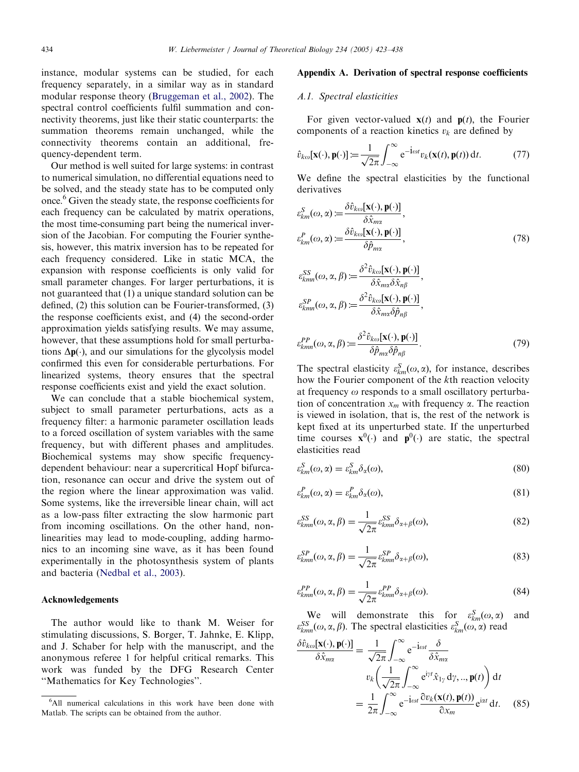instance, modular systems can be studied, for each frequency separately, in a similar way as in standard modular response theory [\(Bruggeman et al., 2002\)](#page-15-0). The spectral control coefficients fulfil summation and connectivity theorems, just like their static counterparts: the summation theorems remain unchanged, while the connectivity theorems contain an additional, frequency-dependent term.

Our method is well suited for large systems: in contrast to numerical simulation, no differential equations need to be solved, and the steady state has to be computed only once.6 Given the steady state, the response coefficients for each frequency can be calculated by matrix operations, the most time-consuming part being the numerical inversion of the Jacobian. For computing the Fourier synthesis, however, this matrix inversion has to be repeated for each frequency considered. Like in static MCA, the expansion with response coefficients is only valid for small parameter changes. For larger perturbations, it is not guaranteed that (1) a unique standard solution can be defined, (2) this solution can be Fourier-transformed, (3) the response coefficients exist, and (4) the second-order approximation yields satisfying results. We may assume, however, that these assumptions hold for small perturbations  $\Delta p(\cdot)$ , and our simulations for the glycolysis model confirmed this even for considerable perturbations. For linearized systems, theory ensures that the spectral response coefficients exist and yield the exact solution.

We can conclude that a stable biochemical system, subject to small parameter perturbations, acts as a frequency filter: a harmonic parameter oscillation leads to a forced oscillation of system variables with the same frequency, but with different phases and amplitudes. Biochemical systems may show specific frequencydependent behaviour: near a supercritical Hopf bifurcation, resonance can occur and drive the system out of the region where the linear approximation was valid. Some systems, like the irreversible linear chain, will act as a low-pass filter extracting the slow harmonic part from incoming oscillations. On the other hand, nonlinearities may lead to mode-coupling, adding harmonics to an incoming sine wave, as it has been found experimentally in the photosynthesis system of plants and bacteria ([Nedbal et al., 2003\)](#page-15-0).

## Acknowledgements

The author would like to thank M. Weiser for stimulating discussions, S. Borger, T. Jahnke, E. Klipp, and J. Schaber for help with the manuscript, and the anonymous referee 1 for helpful critical remarks. This work was funded by the DFG Research Center ''Mathematics for Key Technologies''.

#### Appendix A. Derivation of spectral response coefficients

#### A.1. Spectral elasticities

For given vector-valued  $\mathbf{x}(t)$  and  $\mathbf{p}(t)$ , the Fourier components of a reaction kinetics  $v_k$  are defined by

$$
\hat{v}_{k\omega}[\mathbf{x}(\cdot), \mathbf{p}(\cdot)] := \frac{1}{\sqrt{2\pi}} \int_{-\infty}^{\infty} e^{-i\omega t} v_k(\mathbf{x}(t), \mathbf{p}(t)) dt.
$$
 (77)

We define the spectral elasticities by the functional derivatives

$$
\varepsilon_{km}^S(\omega, \alpha) \coloneqq \frac{\delta \hat{v}_{k\omega}[\mathbf{x}(\cdot), \mathbf{p}(\cdot)]}{\delta \hat{x}_{m\alpha}},
$$
\n
$$
\varepsilon_{km}^P(\omega, \alpha) \coloneqq \frac{\delta \hat{v}_{k\omega}[\mathbf{x}(\cdot), \mathbf{p}(\cdot)]}{\delta \hat{p}_{m\alpha}},
$$
\n(78)

$$
\varepsilon_{kmn}^{SS}(\omega, \alpha, \beta) \coloneqq \frac{\delta^2 \hat{v}_{k\omega}[\mathbf{x}(\cdot), \mathbf{p}(\cdot)]}{\delta \hat{x}_{m\alpha} \delta \hat{x}_{n\beta}},
$$

$$
\varepsilon_{kmn}^{SP}(\omega, \alpha, \beta) \coloneqq \frac{\delta^2 \hat{v}_{k\omega}[\mathbf{x}(\cdot), \mathbf{p}(\cdot)]}{\delta \hat{x}_{m\alpha} \delta \hat{p}_{n\beta}},
$$

$$
\varepsilon_{kmn}^{PP}(\omega, \alpha, \beta) \coloneqq \frac{\delta^2 \hat{v}_{k\omega}[\mathbf{x}(\cdot), \mathbf{p}(\cdot)]}{\delta \hat{p}_{m\alpha} \delta \hat{p}_{n\beta}}.
$$
(79)

The spectral elasticity  $\varepsilon_{km}^S(\omega,\alpha)$ , for instance, describes how the Fourier component of the kth reaction velocity at frequency  $\omega$  responds to a small oscillatory perturbation of concentration  $x_m$  with frequency  $\alpha$ . The reaction is viewed in isolation, that is, the rest of the network is kept fixed at its unperturbed state. If the unperturbed time courses  $\mathbf{x}^0(\cdot)$  and  $\mathbf{p}^0(\cdot)$  are static, the spectral elasticities read

$$
\varepsilon_{km}^S(\omega,\alpha) = \varepsilon_{km}^S \delta_\alpha(\omega),\tag{80}
$$

$$
\varepsilon_{km}^P(\omega,\alpha) = \varepsilon_{km}^P \delta_\alpha(\omega),\tag{81}
$$

$$
\varepsilon_{kmn}^{SS}(\omega, \alpha, \beta) = \frac{1}{\sqrt{2\pi}} \varepsilon_{kmn}^{SS} \delta_{\alpha+\beta}(\omega),\tag{82}
$$

$$
\varepsilon_{kmn}^{SP}(\omega, \alpha, \beta) = \frac{1}{\sqrt{2\pi}} \varepsilon_{kmn}^{SP} \delta_{\alpha+\beta}(\omega), \tag{83}
$$

$$
\varepsilon_{kmn}^{PP}(\omega,\alpha,\beta) = \frac{1}{\sqrt{2\pi}} \varepsilon_{kmn}^{PP} \delta_{\alpha+\beta}(\omega). \tag{84}
$$

We will demonstrate this for  $\varepsilon_{km}^S(\omega,\alpha)$  and  $\varepsilon_{kmn}^{SS}(\omega,\alpha,\beta)$ . The spectral elasticities  $\varepsilon_{km}^{S}(\omega,\alpha)$  read

$$
\frac{\delta \hat{v}_{k\omega}[\mathbf{x}(\cdot), \mathbf{p}(\cdot)]}{\delta \hat{x}_{m\alpha}} = \frac{1}{\sqrt{2\pi}} \int_{-\infty}^{\infty} e^{-i\omega t} \frac{\delta}{\delta \hat{x}_{m\alpha}}
$$

$$
v_k \left(\frac{1}{\sqrt{2\pi}} \int_{-\infty}^{\infty} e^{i\gamma t} \hat{x}_{1\gamma} d\gamma, ..., \mathbf{p}(t)\right) dt
$$

$$
= \frac{1}{2\pi} \int_{-\infty}^{\infty} e^{-i\omega t} \frac{\partial v_k(\mathbf{x}(t), \mathbf{p}(t))}{\partial x_m} e^{i\alpha t} dt. \quad (85)
$$

<sup>6</sup> All numerical calculations in this work have been done with Matlab. The scripts can be obtained from the author.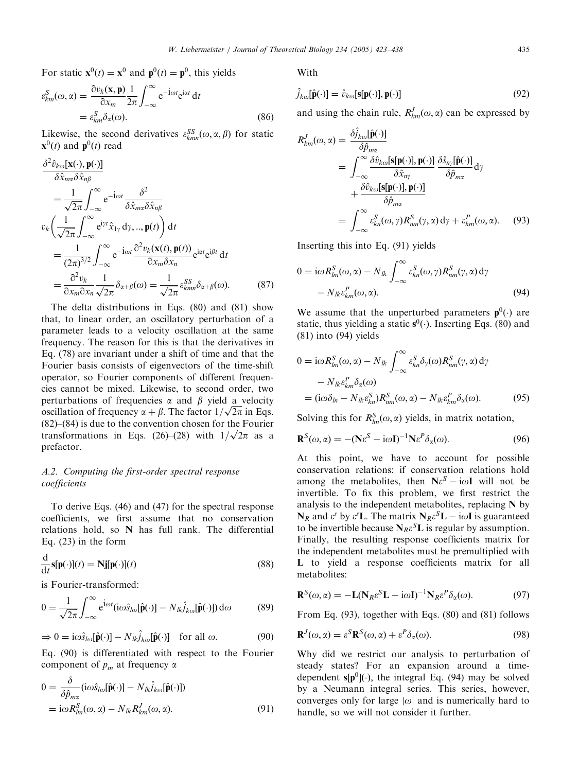For static  $\mathbf{x}^0(t) = \mathbf{x}^0$  and  $\mathbf{p}^0(t) = \mathbf{p}^0$ , this yields

$$
\varepsilon_{km}^S(\omega,\alpha) = \frac{\partial v_k(\mathbf{x}, \mathbf{p})}{\partial x_m} \frac{1}{2\pi} \int_{-\infty}^{\infty} e^{-i\omega t} e^{i\alpha t} dt
$$

$$
= \varepsilon_{km}^S \delta_{\alpha}(\omega). \tag{86}
$$

Likewise, the second derivatives  $\varepsilon_{kmn}^{SS}(\omega,\alpha,\beta)$  for static  $\mathbf{x}^0(t)$  and  $\mathbf{p}^0(t)$  read

$$
\frac{\delta^2 \hat{v}_{k\omega}[\mathbf{x}(\cdot), \mathbf{p}(\cdot)]}{\delta \hat{x}_{m\omega} \delta \hat{x}_{n\beta}}\n= \frac{1}{\sqrt{2\pi}} \int_{-\infty}^{\infty} e^{-i\omega t} \frac{\delta^2}{\delta \hat{x}_{m\omega} \delta \hat{x}_{n\beta}}\nv_k \left(\frac{1}{\sqrt{2\pi}} \int_{-\infty}^{\infty} e^{i\gamma t} \hat{x}_{1\gamma} d\gamma, ..., \mathbf{p}(t)\right) dt\n= \frac{1}{(2\pi)^{3/2}} \int_{-\infty}^{\infty} e^{-i\omega t} \frac{\partial^2 v_k(\mathbf{x}(t), \mathbf{p}(t))}{\partial x_m \partial x_n} e^{i\omega t} e^{i\beta t} dt\n= \frac{\partial^2 v_k}{\partial x_m \partial x_n} \frac{1}{\sqrt{2\pi}} \delta_{\alpha+\beta}(\omega) = \frac{1}{\sqrt{2\pi}} \varepsilon_{kmn}^{SS} \delta_{\alpha+\beta}(\omega).
$$
\n(87)

The delta distributions in Eqs. (80) and (81) show that, to linear order, an oscillatory perturbation of a parameter leads to a velocity oscillation at the same frequency. The reason for this is that the derivatives in Eq. (78) are invariant under a shift of time and that the Fourier basis consists of eigenvectors of the time-shift operator, so Fourier components of different frequencies cannot be mixed. Likewise, to second order, two perturbations of frequencies  $\alpha$  and  $\beta$  yield a velocity perturbations of frequencies  $\alpha$  and  $\beta$  yield a velocity<br>oscillation of frequency  $\alpha + \beta$ . The factor  $1/\sqrt{2\pi}$  in Eqs. (82)–(84) is due to the convention chosen for the Fourier (82)–(84) is que to the convention chosen for the Fourier<br>transformations in Eqs. (26)–(28) with  $1/\sqrt{2\pi}$  as a prefactor.

# A.2. Computing the first-order spectral response coefficients

To derive Eqs. (46) and (47) for the spectral response coefficients, we first assume that no conservation relations hold, so N has full rank. The differential Eq. (23) in the form

$$
\frac{d}{dt}\mathbf{s}[\mathbf{p}(\cdot)](t) = \mathbf{N}\mathbf{j}[\mathbf{p}(\cdot)](t)
$$
\n(88)

is Fourier-transformed:

$$
0 = \frac{1}{\sqrt{2\pi}} \int_{-\infty}^{\infty} e^{i\omega t} (i\omega \hat{s}_{l\omega}[\hat{\mathbf{p}}(\cdot)] - N_{lk} \hat{j}_{k\omega}[\hat{\mathbf{p}}(\cdot)]) d\omega
$$
 (89)

$$
\Rightarrow 0 = i\omega \hat{s}_{l\omega}[\hat{\mathbf{p}}(\cdot)] - N_{lk}\hat{j}_{k\omega}[\hat{\mathbf{p}}(\cdot)] \text{ for all } \omega.
$$
 (90)

Eq. (90) is differentiated with respect to the Fourier component of  $p_m$  at frequency  $\alpha$ 

$$
0 = \frac{\delta}{\delta \hat{p}_{m\alpha}} (i\omega \hat{s}_{l\omega} [\hat{\mathbf{p}}(\cdot)] - N_{lk} \hat{j}_{k\omega} [\hat{\mathbf{p}}(\cdot)] )
$$
  
=  $i\omega R_{lm}^S(\omega, \alpha) - N_{lk} R_{km}^J(\omega, \alpha).$  (91)

With

$$
\hat{j}_{k\omega}[\hat{\mathbf{p}}(\cdot)] = \hat{v}_{k\omega}[\mathbf{s}[\mathbf{p}(\cdot)], \mathbf{p}(\cdot)]
$$
\n(92)

and using the chain rule,  $R_{km}^{J}(\omega, \alpha)$  can be expressed by

$$
R_{km}^{J}(\omega, \alpha) = \frac{\delta \hat{j}_{ko}[\hat{\mathbf{p}}(\cdot)]}{\delta \hat{p}_{m\alpha}}
$$
  
= 
$$
\int_{-\infty}^{\infty} \frac{\delta \hat{v}_{ko}[\mathbf{s}[\mathbf{p}(\cdot)], \mathbf{p}(\cdot)]}{\delta \hat{x}_{m\gamma}} \frac{\delta \hat{s}_{m\gamma}[\hat{\mathbf{p}}(\cdot)]}{\delta \hat{p}_{m\alpha}} d\gamma
$$
  
+ 
$$
\frac{\delta \hat{v}_{ko}[\mathbf{s}[\mathbf{p}(\cdot)], \mathbf{p}(\cdot)]}{\delta \hat{p}_{m\alpha}}
$$
  
= 
$$
\int_{-\infty}^{\infty} \varepsilon_{kn}^{S}(\omega, \gamma) R_{nm}^{S}(\gamma, \alpha) d\gamma + \varepsilon_{km}^{P}(\omega, \alpha).
$$
 (93)

Inserting this into Eq. (91) yields

$$
0 = i\omega R_{lm}^S(\omega, \alpha) - N_{lk} \int_{-\infty}^{\infty} \varepsilon_{kn}^S(\omega, \gamma) R_{nm}^S(\gamma, \alpha) d\gamma
$$

$$
- N_{lk} \varepsilon_{km}^P(\omega, \alpha). \tag{94}
$$

We assume that the unperturbed parameters  $p^0(\cdot)$  are static, thus yielding a static  $s^0(\cdot)$ . Inserting Eqs. (80) and (81) into (94) yields

$$
0 = i\omega R_{lm}^S(\omega, \alpha) - N_{lk} \int_{-\infty}^{\infty} \varepsilon_{kn}^S \delta_{\gamma}(\omega) R_{nm}^S(\gamma, \alpha) d\gamma
$$

$$
- N_{lk} \varepsilon_{km}^P \delta_{\alpha}(\omega)
$$

$$
= (i\omega \delta_{ln} - N_{lk} \varepsilon_{kn}^S) R_{nm}^S(\omega, \alpha) - N_{lk} \varepsilon_{km}^P \delta_{\alpha}(\omega). \tag{95}
$$

Solving this for  $R_{lm}^S(\omega,\alpha)$  yields, in matrix notation,

$$
\mathbf{R}^{S}(\omega,\alpha) = -(\mathbf{N}\varepsilon^{S} - i\omega \mathbf{I})^{-1} \mathbf{N}\varepsilon^{P} \delta_{\alpha}(\omega). \tag{96}
$$

At this point, we have to account for possible conservation relations: if conservation relations hold among the metabolites, then  $N\varepsilon^S - i\omega I$  will not be invertible. To fix this problem, we first restrict the analysis to the independent metabolites, replacing N by  $N_R$  and  $\varepsilon^s$  by  $\varepsilon^s L$ . The matrix  $N_R \varepsilon^S L - i\omega I$  is guaranteed to be invertible because  $N_R \varepsilon^S L$  is regular by assumption. Finally, the resulting response coefficients matrix for the independent metabolites must be premultiplied with L to yield a response coefficients matrix for all metabolites:

$$
\mathbf{R}^{S}(\omega, \alpha) = -\mathbf{L}(\mathbf{N}_{R}\varepsilon^{S}\mathbf{L} - i\omega\mathbf{I})^{-1}\mathbf{N}_{R}\varepsilon^{P}\delta_{\alpha}(\omega). \tag{97}
$$

From Eq. (93), together with Eqs. (80) and (81) follows

$$
\mathbf{R}^{J}(\omega,\alpha) = \varepsilon^{S} \mathbf{R}^{S}(\omega,\alpha) + \varepsilon^{P} \delta_{\alpha}(\omega). \tag{98}
$$

Why did we restrict our analysis to perturbation of steady states? For an expansion around a timedependent  $\text{sfp}^0$ ](·), the integral Eq. (94) may be solved by a Neumann integral series. This series, however, converges only for large  $|\omega|$  and is numerically hard to handle, so we will not consider it further.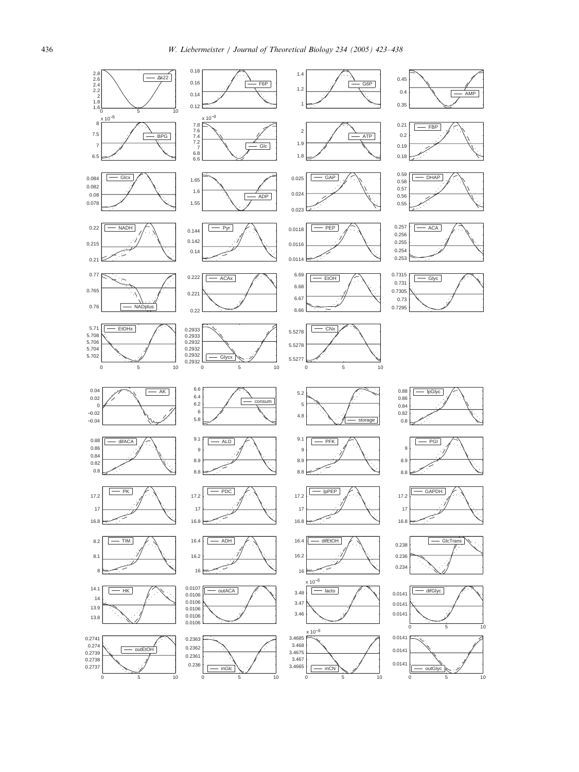

0 5 10 0 5 10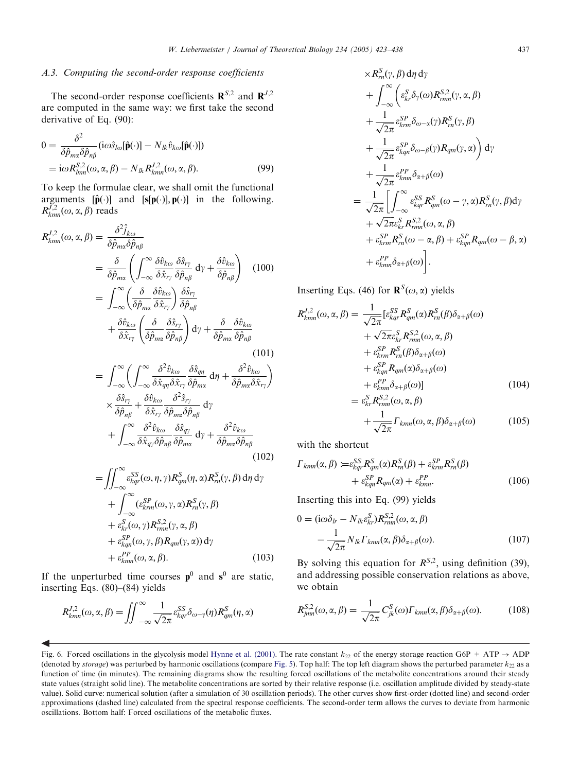# <span id="page-14-0"></span>A.3. Computing the second-order response coefficients

The second-order response coefficients  $\mathbb{R}^{S,2}$  and  $\mathbb{R}^{J,2}$ are computed in the same way: we first take the second derivative of Eq. (90):

$$
0 = \frac{\delta^2}{\delta \hat{p}_{m\alpha} \delta \hat{p}_{n\beta}} (\mathrm{i}\omega \hat{s}_{l\omega}[\hat{\mathbf{p}}(\cdot)] - N_{lk} \hat{v}_{k\omega}[\hat{\mathbf{p}}(\cdot)])
$$
  
=  $\mathrm{i}\omega R_{lmn}^{S,2}(\omega, \alpha, \beta) - N_{lk} R_{kmn}^{J,2}(\omega, \alpha, \beta).$  (99)

To keep the formulae clear, we shall omit the functional arguments  $[\hat{\mathbf{p}}(\cdot)]$  and  $[\mathbf{s}[\mathbf{p}(\cdot)], \mathbf{p}(\cdot)]$  in the following.  $R_{kmn}^{J,2}(\omega,\alpha,\beta)$  reads

$$
R_{kmn}^{J,2}(\omega, \alpha, \beta) = \frac{\delta^2 \hat{j}_{k\omega}}{\delta \hat{p}_{m\alpha} \delta \hat{p}_{n\beta}} = \frac{\delta}{\delta \hat{p}_{m\alpha}} \left( \int_{-\infty}^{\infty} \frac{\delta \hat{v}_{k\omega}}{\delta \hat{x}_{r\gamma}} \frac{\delta \hat{s}_{r\gamma}}{\delta \hat{p}_{n\beta}} \, \mathrm{d}\gamma + \frac{\delta \hat{v}_{k\omega}}{\delta \hat{p}_{n\beta}} \right) \quad (100) = \int_{-\infty}^{\infty} \left( \frac{\delta}{\delta \hat{p}_{m\alpha}} \frac{\delta \hat{v}_{k\omega}}{\delta \hat{x}_{r\gamma}} \right) \frac{\delta \hat{s}_{r\gamma}}{\delta \hat{p}_{n\beta}} + \frac{\delta \hat{v}_{k\omega}}{\delta \hat{x}_{r\gamma}} \left( \frac{\delta}{\delta \hat{p}_{m\alpha}} \frac{\delta \hat{s}_{r\gamma}}{\delta \hat{p}_{n\beta}} \right) \mathrm{d}\gamma + \frac{\delta}{\delta \hat{p}_{m\alpha}} \frac{\delta \hat{v}_{k\omega}}{\delta \hat{p}_{n\beta}} (101) = \int_{-\infty}^{\infty} \left( \int_{-\infty}^{\infty} \frac{\delta^2 \hat{v}_{k\omega}}{\delta \hat{x}_{r\alpha}} \frac{\delta \hat{s}_{q\eta}}{\delta \hat{p}_{n\alpha}} \, \mathrm{d}\eta + \frac{\delta^2 \hat{v}_{k\omega}}{\delta \hat{x}_{r\alpha}} \right)
$$

$$
J_{-\infty} \left( \int_{-\infty} \delta \hat{x}_{q\eta} \delta \hat{x}_{r\gamma} \, \delta \hat{p}_{m\alpha} \right. \left. \delta \hat{r}_{m\alpha} \delta \hat{x}_{r\gamma} \right)
$$
  
\n
$$
\times \frac{\delta \hat{s}_{r\gamma}}{\delta \hat{p}_{n\beta}} + \frac{\delta \hat{v}_{k\omega}}{\delta \hat{x}_{r\gamma}} \frac{\delta^2 \hat{s}_{r\gamma}}{\delta \hat{p}_{m\alpha} \delta \hat{p}_{n\beta}} \, \mathrm{d}\gamma
$$
  
\n
$$
+ \int_{-\infty}^{\infty} \frac{\delta^2 \hat{v}_{k\omega}}{\delta \hat{x}_{q\gamma} \delta \hat{p}_{n\beta}} \frac{\delta \hat{s}_{q\gamma}}{\delta \hat{p}_{m\alpha}} \, \mathrm{d}\gamma + \frac{\delta^2 \hat{v}_{k\omega}}{\delta \hat{p}_{m\alpha} \delta \hat{p}_{n\beta}} \, \mathrm{d}\gamma \right]
$$
(102)

$$
= \iint_{-\infty}^{\infty} \varepsilon_{kqr}^{SS}(\omega, \eta, \gamma) R_{qm}^S(\eta, \alpha) R_m^S(\gamma, \beta) d\eta d\gamma + \int_{-\infty}^{\infty} (\varepsilon_{krm}^{SP}(\omega, \gamma, \alpha) R_m^S(\gamma, \beta) + \varepsilon_{kr}^S(\omega, \gamma) R_{mm}^{S,2}(\gamma, \alpha, \beta) + \varepsilon_{kqn}^{SP}(\omega, \gamma, \beta) R_{qm}(\gamma, \alpha) d\gamma + \varepsilon_{krm}^{PP}(\omega, \alpha, \beta).
$$
 (103)

If the unperturbed time courses  $p^0$  and  $s^0$  are static, inserting Eqs. (80)–(84) yields

$$
R_{kmn}^{J,2}(\omega,\alpha,\beta) = \iint_{-\infty}^{\infty} \frac{1}{\sqrt{2\pi}} \varepsilon_{kqr}^{SS} \delta_{\omega-\gamma}(\eta) R_{qm}^{S}(\eta,\alpha)
$$

$$
\times R_{rn}^{S}(\gamma, \beta) d\eta d\gamma
$$
  
+ 
$$
\int_{-\infty}^{\infty} \left( \varepsilon_{kr}^{S} \delta_{\gamma}(\omega) R_{rmn}^{S,2}(\gamma, \alpha, \beta) + \frac{1}{\sqrt{2\pi}} \varepsilon_{krm}^{SP} \delta_{\omega-\alpha}(\gamma) R_{rn}^{S}(\gamma, \beta) + \frac{1}{\sqrt{2\pi}} \varepsilon_{kqm}^{SP} \delta_{\omega-\beta}(\gamma) R_{qm}(\gamma, \alpha) \right) d\gamma
$$
  
+ 
$$
\frac{1}{\sqrt{2\pi}} \varepsilon_{kmn}^{PP} \delta_{\alpha+\beta}(\omega)
$$
  
= 
$$
\frac{1}{\sqrt{2\pi}} \left[ \int_{-\infty}^{\infty} \varepsilon_{kqr}^{SS} R_{qm}^{S}(\omega - \gamma, \alpha) R_{rn}^{S}(\gamma, \beta) d\gamma + \sqrt{2\pi} \varepsilon_{kr}^{S} R_{rmn}^{S,2}(\omega, \alpha, \beta) + \varepsilon_{kmn}^{SP} R_{sn}^{S}(\omega - \alpha, \beta) + \varepsilon_{kqm}^{SP} R_{qm}(\omega - \beta, \alpha) + \varepsilon_{kmn}^{PP} \delta_{\alpha+\beta}(\omega) \right].
$$

Inserting Eqs. (46) for  $\mathbf{R}^{S}(\omega,\alpha)$  yields

$$
R_{kmn}^{J,2}(\omega, \alpha, \beta) = \frac{1}{\sqrt{2\pi}} \left[ \varepsilon_{kqr}^{SS} R_{qm}^{S}(\alpha) R_{rn}^{S}(\beta) \delta_{\alpha+\beta}(\omega) \right. \\ \left. + \sqrt{2\pi} \varepsilon_{kr}^{S} R_{rm}^{S,2}(\omega, \alpha, \beta) \right. \\ \left. + \varepsilon_{kmn}^{SP} R_{rn}^{S}(\beta) \delta_{\alpha+\beta}(\omega) \right. \\ \left. + \varepsilon_{kqm}^{SP} R_{qm}(\alpha) \delta_{\alpha+\beta}(\omega) \right. \\ \left. + \varepsilon_{kmn}^{PP} \delta_{\alpha+\beta}(\omega) \right] \right] \qquad (104)
$$

$$
= \varepsilon_{kr}^{S} R_{rm}^{S,2}(\omega, \alpha, \beta) \\ \left. + \frac{1}{\sqrt{2\pi}} \Gamma_{kmn}(\omega, \alpha, \beta) \delta_{\alpha+\beta}(\omega) \right] \qquad (105)
$$

with the shortcut

$$
\Gamma_{kmn}(\alpha,\beta) := \varepsilon_{kqr}^{SS} R_{qm}^S(\alpha) R_{rn}^S(\beta) + \varepsilon_{kmn}^{SP} R_{rn}^S(\beta)
$$
  
+  $\varepsilon_{kqn}^{SP} R_{qm}(\alpha) + \varepsilon_{kmn}^{PP}$ . (106)

Inserting this into Eq. (99) yields

$$
0 = (i\omega\delta_{lr} - N_{lk}\varepsilon_{kr}^{S})R_{rm}^{S,2}(\omega, \alpha, \beta)
$$

$$
- \frac{1}{\sqrt{2\pi}} N_{lk} \Gamma_{kmn}(\alpha, \beta)\delta_{\alpha+\beta}(\omega). \tag{107}
$$

By solving this equation for  $R^{S,2}$ , using definition (39), and addressing possible conservation relations as above, we obtain

$$
R_{jmn}^{S,2}(\omega,\alpha,\beta) = \frac{1}{\sqrt{2\pi}} C_{jk}^{S}(\omega) \Gamma_{kmn}(\alpha,\beta) \delta_{\alpha+\beta}(\omega). \tag{108}
$$

Fig. 6. Forced oscillations in the glycolysis model [Hynne et al. \(2001\).](#page-15-0) The rate constant  $k_{22}$  of the energy storage reaction G6P + ATP  $\rightarrow$  ADP (denoted by *storage*) was perturbed by harmonic oscillations (compare [Fig. 5](#page-10-0)). Top half: The top left diagram shows the perturbed parameter  $k_{22}$  as a function of time (in minutes). The remaining diagrams show the resulting forced oscillations of the metabolite concentrations around their steady state values (straight solid line). The metabolite concentrations are sorted by their relative response (i.e. oscillation amplitude divided by steady-state value). Solid curve: numerical solution (after a simulation of 30 oscillation periods). The other curves show first-order (dotted line) and second-order approximations (dashed line) calculated from the spectral response coefficients. The second-order term allows the curves to deviate from harmonic oscillations. Bottom half: Forced oscillations of the metabolic fluxes.